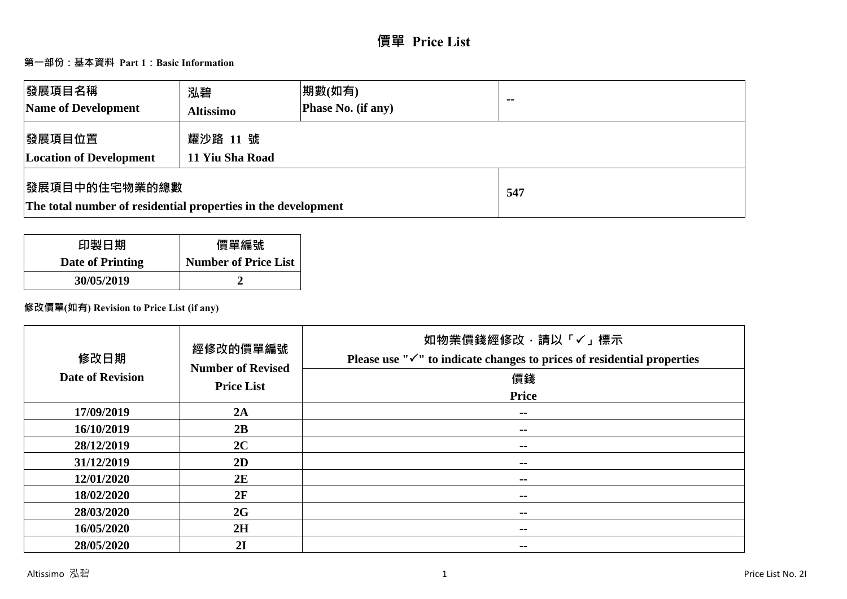# **價單 Price List**

# **第一部份:基本資料 Part 1:Basic Information**

| 發展項目名稱<br>Name of Development                                                  | 泓碧<br><b>Altissimo</b>      | 期數(如有)<br>Phase No. (if any) | $\blacksquare$ |
|--------------------------------------------------------------------------------|-----------------------------|------------------------------|----------------|
| 發展項目位置<br><b>Location of Development</b>                                       | 耀沙路 11 號<br>11 Yiu Sha Road |                              |                |
| 發展項目中的住宅物業的總數<br>The total number of residential properties in the development |                             |                              | 547            |

| 印製日期             | 價單編號                        |
|------------------|-----------------------------|
| Date of Printing | <b>Number of Price List</b> |
| 30/05/2019       |                             |

# **修改價單(如有) Revision to Price List (if any)**

| 修改日期<br><b>Date of Revision</b> | 經修改的價單編號<br><b>Number of Revised</b><br><b>Price List</b> | 如物業價錢經修改,請以「✓」標示<br>Please use " $\checkmark$ " to indicate changes to prices of residential properties<br>價錢<br><b>Price</b> |
|---------------------------------|-----------------------------------------------------------|-------------------------------------------------------------------------------------------------------------------------------|
| 17/09/2019                      | 2A                                                        | $\sim$                                                                                                                        |
| 16/10/2019                      | 2B                                                        | $\sim$ $-$                                                                                                                    |
| 28/12/2019                      | 2C                                                        | $\sim$                                                                                                                        |
| 31/12/2019                      | 2D                                                        | $\sim$ $-$                                                                                                                    |
| 12/01/2020                      | 2E                                                        | --                                                                                                                            |
| 18/02/2020                      | 2F                                                        | $\sim$ $-$                                                                                                                    |
| 28/03/2020                      | 2G                                                        | $\sim$ $-$                                                                                                                    |
| 16/05/2020                      | 2H                                                        | $\sim$ $-$                                                                                                                    |
| 28/05/2020                      | 2I                                                        | --                                                                                                                            |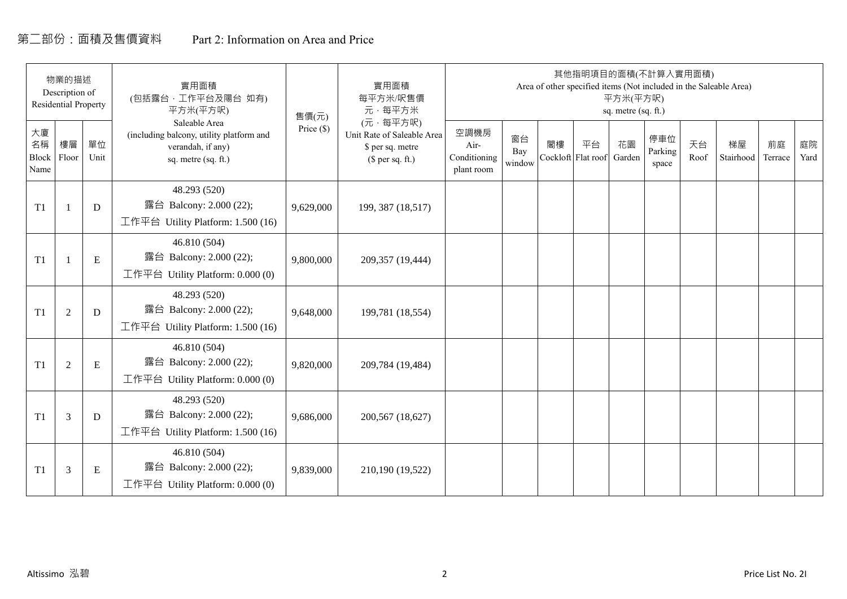# 第二部份:面積及售價資料 Part 2: Information on Area and Price

|                           | 物業的描述<br>Description of<br><b>Residential Property</b> |            | 實用面積<br>(包括露台,工作平台及陽台 如有)<br>平方米(平方呎)                                                                 | 售價(元)      | 實用面積<br>每平方米/呎售價<br>元·每平方米                                                     |                                            |                     |    |                          | 平方米(平方呎)<br>sq. metre (sq. ft.) | 其他指明項目的面積(不計算入實用面積)     |            | Area of other specified items (Not included in the Saleable Area) |               |            |
|---------------------------|--------------------------------------------------------|------------|-------------------------------------------------------------------------------------------------------|------------|--------------------------------------------------------------------------------|--------------------------------------------|---------------------|----|--------------------------|---------------------------------|-------------------------|------------|-------------------------------------------------------------------|---------------|------------|
| 大廈<br>名稱<br>Block<br>Name | 樓層<br>Floor                                            | 單位<br>Unit | Saleable Area<br>(including balcony, utility platform and<br>verandah, if any)<br>sq. metre (sq. ft.) | Price (\$) | (元·每平方呎)<br>Unit Rate of Saleable Area<br>\$ per sq. metre<br>$$$ per sq. ft.) | 空調機房<br>Air-<br>Conditioning<br>plant room | 窗台<br>Bay<br>window | 閣樓 | 平台<br>Cockloft Flat roof | 花園<br>Garden                    | 停車位<br>Parking<br>space | 天台<br>Roof | 梯屋<br>Stairhood                                                   | 前庭<br>Terrace | 庭院<br>Yard |
| T1                        |                                                        | D          | 48.293 (520)<br>露台 Balcony: 2.000 (22);<br>工作平台 Utility Platform: 1.500 (16)                          | 9,629,000  | 199, 387 (18,517)                                                              |                                            |                     |    |                          |                                 |                         |            |                                                                   |               |            |
| T1                        |                                                        | ${\bf E}$  | 46.810 (504)<br>露台 Balcony: 2.000 (22);<br>工作平台 Utility Platform: $0.000(0)$                          | 9,800,000  | 209,357 (19,444)                                                               |                                            |                     |    |                          |                                 |                         |            |                                                                   |               |            |
| T1                        | $\overline{2}$                                         | D          | 48.293 (520)<br>露台 Balcony: 2.000 (22);<br>工作平台 Utility Platform: 1.500 (16)                          | 9,648,000  | 199,781 (18,554)                                                               |                                            |                     |    |                          |                                 |                         |            |                                                                   |               |            |
| T1                        | 2                                                      | ${\bf E}$  | 46.810 (504)<br>露台 Balcony: 2.000 (22);<br>工作平台 Utility Platform: 0.000 (0)                           | 9,820,000  | 209,784 (19,484)                                                               |                                            |                     |    |                          |                                 |                         |            |                                                                   |               |            |
| T1                        | 3                                                      | D          | 48.293 (520)<br>露台 Balcony: 2.000 (22);<br>工作平台 Utility Platform: $1.500(16)$                         | 9,686,000  | 200,567 (18,627)                                                               |                                            |                     |    |                          |                                 |                         |            |                                                                   |               |            |
| T1                        | 3                                                      | Ε          | 46.810 (504)<br>露台 Balcony: 2.000 (22);<br>工作平台 Utility Platform: $0.000(0)$                          | 9,839,000  | 210,190 (19,522)                                                               |                                            |                     |    |                          |                                 |                         |            |                                                                   |               |            |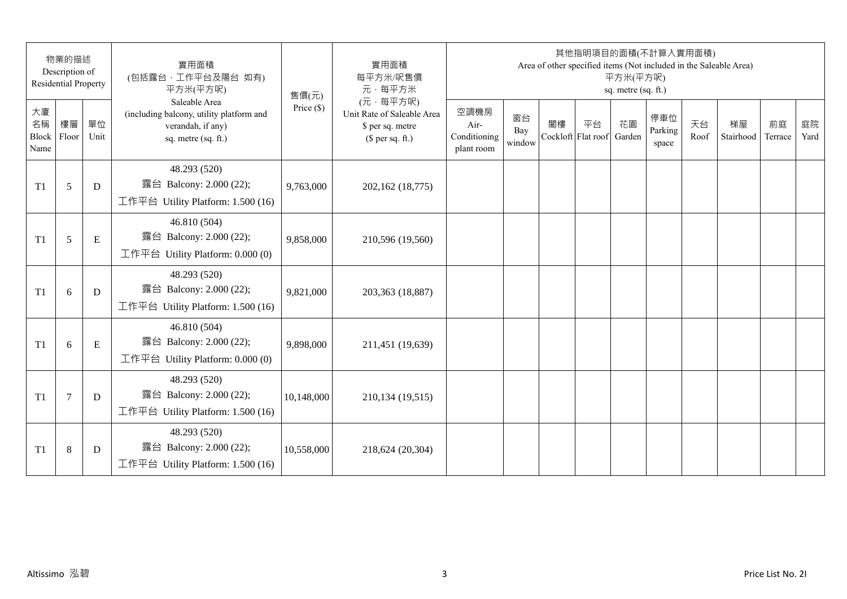|                                 | 物業的描述<br>Description of<br><b>Residential Property</b> |            | 實用面積<br>(包括露台,工作平台及陽台 如有)<br>平方米(平方呎)                                                                 | 售價(元)        | 實用面積<br>每平方米/呎售價<br>元·每平方米                                                     |                                            |                     |                          | 其他指明項目的面積(不計算入實用面積)<br>Area of other specified items (Not included in the Saleable Area) | 平方米(平方呎)<br>sq. metre (sq. ft.) |                         |            |                 |               |            |
|---------------------------------|--------------------------------------------------------|------------|-------------------------------------------------------------------------------------------------------|--------------|--------------------------------------------------------------------------------|--------------------------------------------|---------------------|--------------------------|------------------------------------------------------------------------------------------|---------------------------------|-------------------------|------------|-----------------|---------------|------------|
| 大廈<br>名稱<br>Block Floor<br>Name | 樓層                                                     | 單位<br>Unit | Saleable Area<br>(including balcony, utility platform and<br>verandah, if any)<br>sq. metre (sq. ft.) | Price $(\$)$ | (元·每平方呎)<br>Unit Rate of Saleable Area<br>\$ per sq. metre<br>$$$ per sq. ft.) | 空調機房<br>Air-<br>Conditioning<br>plant room | 窗台<br>Bay<br>window | 閣樓<br>Cockloft Flat roof | 平台                                                                                       | 花園<br>Garden                    | 停車位<br>Parking<br>space | 天台<br>Roof | 梯屋<br>Stairhood | 前庭<br>Terrace | 庭院<br>Yard |
| T1                              | 5                                                      | D          | 48.293 (520)<br>露台 Balcony: 2.000 (22);<br>工作平台 Utility Platform: 1.500 (16)                          | 9,763,000    | 202,162 (18,775)                                                               |                                            |                     |                          |                                                                                          |                                 |                         |            |                 |               |            |
| T1                              | 5                                                      | E          | 46.810 (504)<br>露台 Balcony: 2.000 (22);<br>工作平台 Utility Platform: 0.000 (0)                           | 9,858,000    | 210,596 (19,560)                                                               |                                            |                     |                          |                                                                                          |                                 |                         |            |                 |               |            |
| T1                              | 6                                                      | D          | 48.293 (520)<br>露台 Balcony: 2.000 (22);<br>工作平台 Utility Platform: 1.500 (16)                          | 9,821,000    | 203,363 (18,887)                                                               |                                            |                     |                          |                                                                                          |                                 |                         |            |                 |               |            |
| T1                              | 6                                                      | E          | 46.810 (504)<br>露台 Balcony: 2.000 (22);<br>工作平台 Utility Platform: 0.000 (0)                           | 9,898,000    | 211,451 (19,639)                                                               |                                            |                     |                          |                                                                                          |                                 |                         |            |                 |               |            |
| T1                              | $\overline{7}$                                         | D          | 48.293 (520)<br>露台 Balcony: 2.000 (22);<br>工作平台 Utility Platform: 1.500 (16)                          | 10,148,000   | 210,134 (19,515)                                                               |                                            |                     |                          |                                                                                          |                                 |                         |            |                 |               |            |
| T1                              | $\,8\,$                                                | D          | 48.293 (520)<br>露台 Balcony: 2.000 (22);<br>工作平台 Utility Platform: $1.500(16)$                         | 10,558,000   | 218,624 (20,304)                                                               |                                            |                     |                          |                                                                                          |                                 |                         |            |                 |               |            |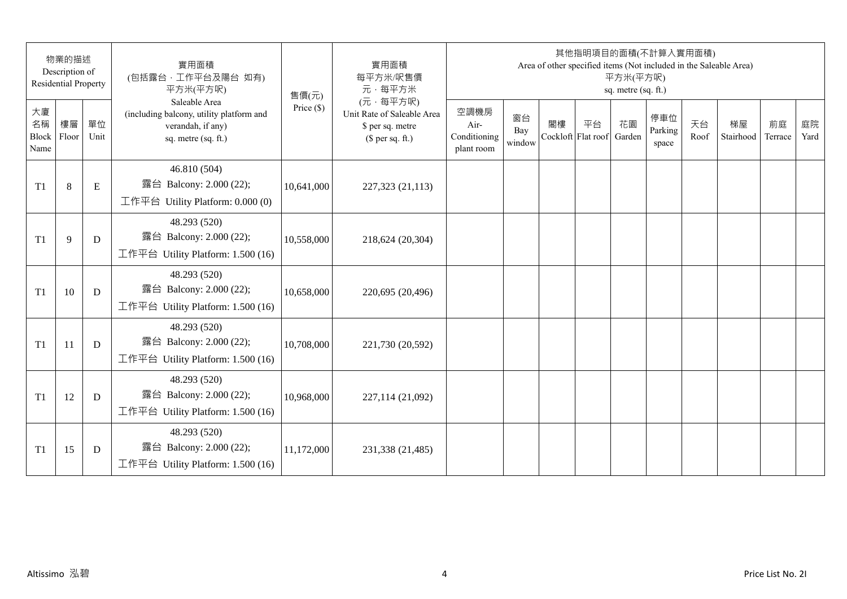|                           | 物業的描述<br>Description of<br><b>Residential Property</b> |            | 實用面積<br>(包括露台,工作平台及陽台 如有)<br>平方米(平方呎)                                                                 | 售價(元)        | 實用面積<br>每平方米/呎售價<br>元·每平方米                                                     |                                            |                     |    | 其他指明項目的面積(不計算入實用面積)      | 平方米(平方呎)<br>sq. metre (sq. ft.) |                         |            | Area of other specified items (Not included in the Saleable Area) |               |            |
|---------------------------|--------------------------------------------------------|------------|-------------------------------------------------------------------------------------------------------|--------------|--------------------------------------------------------------------------------|--------------------------------------------|---------------------|----|--------------------------|---------------------------------|-------------------------|------------|-------------------------------------------------------------------|---------------|------------|
| 大廈<br>名稱<br>Block<br>Name | 樓層<br>Floor                                            | 單位<br>Unit | Saleable Area<br>(including balcony, utility platform and<br>verandah, if any)<br>sq. metre (sq. ft.) | Price $(\$)$ | (元·每平方呎)<br>Unit Rate of Saleable Area<br>\$ per sq. metre<br>$$$ per sq. ft.) | 空調機房<br>Air-<br>Conditioning<br>plant room | 窗台<br>Bay<br>window | 閣樓 | 平台<br>Cockloft Flat roof | 花園<br>Garden                    | 停車位<br>Parking<br>space | 天台<br>Roof | 梯屋<br>Stairhood                                                   | 前庭<br>Terrace | 庭院<br>Yard |
| T <sub>1</sub>            | $8\,$                                                  | ${\bf E}$  | 46.810 (504)<br>露台 Balcony: 2.000 (22);<br>工作平台 Utility Platform: $0.000(0)$                          | 10,641,000   | 227,323 (21,113)                                                               |                                            |                     |    |                          |                                 |                         |            |                                                                   |               |            |
| T <sub>1</sub>            | 9                                                      | D          | 48.293 (520)<br>露台 Balcony: 2.000 (22);<br>工作平台 Utility Platform: 1.500 (16)                          | 10,558,000   | 218,624 (20,304)                                                               |                                            |                     |    |                          |                                 |                         |            |                                                                   |               |            |
| T1                        | 10                                                     | D          | 48.293 (520)<br>露台 Balcony: 2.000 (22);<br>工作平台 Utility Platform: 1.500 (16)                          | 10,658,000   | 220,695 (20,496)                                                               |                                            |                     |    |                          |                                 |                         |            |                                                                   |               |            |
| T <sub>1</sub>            | 11                                                     | D          | 48.293 (520)<br>露台 Balcony: 2.000 (22);<br>工作平台 Utility Platform: 1.500 (16)                          | 10,708,000   | 221,730 (20,592)                                                               |                                            |                     |    |                          |                                 |                         |            |                                                                   |               |            |
| T <sub>1</sub>            | 12                                                     | D          | 48.293 (520)<br>露台 Balcony: 2.000 (22);<br>工作平台 Utility Platform: 1.500 (16)                          | 10,968,000   | 227,114 (21,092)                                                               |                                            |                     |    |                          |                                 |                         |            |                                                                   |               |            |
| T <sub>1</sub>            | 15                                                     | D          | 48.293 (520)<br>露台 Balcony: 2.000 (22);<br>工作平台 Utility Platform: 1.500 (16)                          | 11,172,000   | 231,338 (21,485)                                                               |                                            |                     |    |                          |                                 |                         |            |                                                                   |               |            |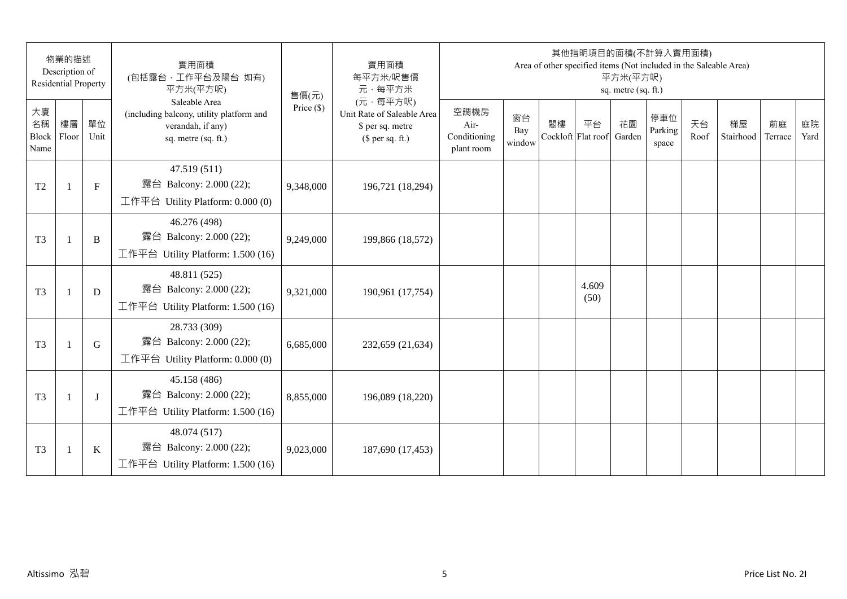|                           | 物業的描述<br>Description of<br><b>Residential Property</b> |            | 實用面積<br>(包括露台,工作平台及陽台 如有)<br>平方米(平方呎)                                                                 | 售價(元)        | 實用面積<br>每平方米/呎售價<br>元·每平方米                                                     |                                            |                     |    | 其他指明項目的面積(不計算入實用面積)<br>Area of other specified items (Not included in the Saleable Area) | 平方米(平方呎)<br>sq. metre (sq. ft.) |                         |            |                 |               |            |
|---------------------------|--------------------------------------------------------|------------|-------------------------------------------------------------------------------------------------------|--------------|--------------------------------------------------------------------------------|--------------------------------------------|---------------------|----|------------------------------------------------------------------------------------------|---------------------------------|-------------------------|------------|-----------------|---------------|------------|
| 大廈<br>名稱<br>Block<br>Name | 樓層<br>Floor                                            | 單位<br>Unit | Saleable Area<br>(including balcony, utility platform and<br>verandah, if any)<br>sq. metre (sq. ft.) | Price $(\$)$ | (元·每平方呎)<br>Unit Rate of Saleable Area<br>\$ per sq. metre<br>(\$ per sq. ft.) | 空調機房<br>Air-<br>Conditioning<br>plant room | 窗台<br>Bay<br>window | 閣樓 | 平台<br>Cockloft Flat roof                                                                 | 花園<br>Garden                    | 停車位<br>Parking<br>space | 天台<br>Roof | 梯屋<br>Stairhood | 前庭<br>Terrace | 庭院<br>Yard |
| T <sub>2</sub>            |                                                        | $F_{\rm}$  | 47.519 (511)<br>露台 Balcony: 2.000 (22);<br>工作平台 Utility Platform: $0.000(0)$                          | 9,348,000    | 196,721 (18,294)                                                               |                                            |                     |    |                                                                                          |                                 |                         |            |                 |               |            |
| T <sub>3</sub>            | $\mathbf{1}$                                           | B          | 46.276 (498)<br>露台 Balcony: 2.000 (22);<br>工作平台 Utility Platform: 1.500 (16)                          | 9,249,000    | 199,866 (18,572)                                                               |                                            |                     |    |                                                                                          |                                 |                         |            |                 |               |            |
| T <sub>3</sub>            | $\mathbf{1}$                                           | D          | 48.811 (525)<br>露台 Balcony: 2.000 (22);<br>工作平台 Utility Platform: 1.500 (16)                          | 9,321,000    | 190,961 (17,754)                                                               |                                            |                     |    | 4.609<br>(50)                                                                            |                                 |                         |            |                 |               |            |
| T <sub>3</sub>            | $\mathbf{1}$                                           | G          | 28.733 (309)<br>露台 Balcony: 2.000 (22);<br>工作平台 Utility Platform: $0.000(0)$                          | 6,685,000    | 232,659 (21,634)                                                               |                                            |                     |    |                                                                                          |                                 |                         |            |                 |               |            |
| T <sub>3</sub>            |                                                        | $\bf{J}$   | 45.158 (486)<br>露台 Balcony: 2.000 (22);<br>工作平台 Utility Platform: 1.500 (16)                          | 8,855,000    | 196,089 (18,220)                                                               |                                            |                     |    |                                                                                          |                                 |                         |            |                 |               |            |
| T <sub>3</sub>            | $\overline{1}$                                         | $\bf K$    | 48.074 (517)<br>露台 Balcony: 2.000 (22);<br>工作平台 Utility Platform: 1.500 (16)                          | 9,023,000    | 187,690 (17,453)                                                               |                                            |                     |    |                                                                                          |                                 |                         |            |                 |               |            |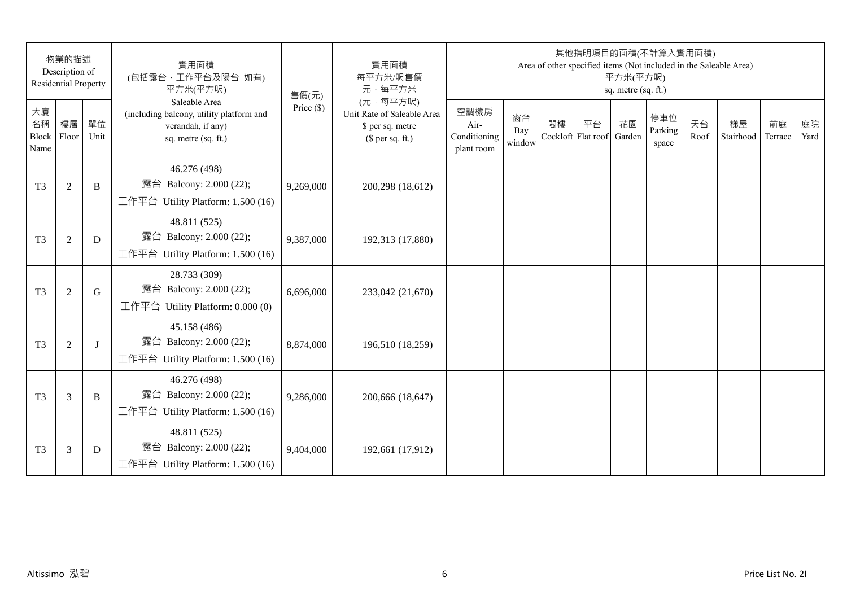|                                 | 物業的描述<br>Description of<br><b>Residential Property</b> |            | 實用面積<br>(包括露台,工作平台及陽台 如有)<br>平方米(平方呎)                                                                 | 售價(元)        | 實用面積<br>每平方米/呎售價<br>元·每平方米                                                     |                                            |                     |                          | 其他指明項目的面積(不計算入實用面積) | 平方米(平方呎)<br>sq. metre (sq. ft.) |                         |            | Area of other specified items (Not included in the Saleable Area) |               |            |
|---------------------------------|--------------------------------------------------------|------------|-------------------------------------------------------------------------------------------------------|--------------|--------------------------------------------------------------------------------|--------------------------------------------|---------------------|--------------------------|---------------------|---------------------------------|-------------------------|------------|-------------------------------------------------------------------|---------------|------------|
| 大廈<br>名稱<br>Block Floor<br>Name | 樓層                                                     | 單位<br>Unit | Saleable Area<br>(including balcony, utility platform and<br>verandah, if any)<br>sq. metre (sq. ft.) | Price $(\$)$ | (元·每平方呎)<br>Unit Rate of Saleable Area<br>\$ per sq. metre<br>$$$ per sq. ft.) | 空調機房<br>Air-<br>Conditioning<br>plant room | 窗台<br>Bay<br>window | 閣樓<br>Cockloft Flat roof | 平台                  | 花園<br>Garden                    | 停車位<br>Parking<br>space | 天台<br>Roof | 梯屋<br>Stairhood                                                   | 前庭<br>Terrace | 庭院<br>Yard |
| T <sub>3</sub>                  | $\mathfrak{2}$                                         | B          | 46.276 (498)<br>露台 Balcony: 2.000 (22);<br>工作平台 Utility Platform: 1.500 (16)                          | 9,269,000    | 200,298 (18,612)                                                               |                                            |                     |                          |                     |                                 |                         |            |                                                                   |               |            |
| T <sub>3</sub>                  | $\sqrt{2}$                                             | D          | 48.811 (525)<br>露台 Balcony: 2.000 (22);<br>工作平台 Utility Platform: 1.500 (16)                          | 9,387,000    | 192,313 (17,880)                                                               |                                            |                     |                          |                     |                                 |                         |            |                                                                   |               |            |
| T <sub>3</sub>                  | $\mathfrak{2}$                                         | G          | 28.733 (309)<br>露台 Balcony: 2.000 (22);<br>工作平台 Utility Platform: 0.000 (0)                           | 6,696,000    | 233,042 (21,670)                                                               |                                            |                     |                          |                     |                                 |                         |            |                                                                   |               |            |
| T <sub>3</sub>                  | $\mathfrak{2}$                                         | J          | 45.158 (486)<br>露台 Balcony: 2.000 (22);<br>工作平台 Utility Platform: 1.500 (16)                          | 8,874,000    | 196,510 (18,259)                                                               |                                            |                     |                          |                     |                                 |                         |            |                                                                   |               |            |
| T <sub>3</sub>                  | 3                                                      | B          | 46.276 (498)<br>露台 Balcony: 2.000 (22);<br>工作平台 Utility Platform: 1.500 (16)                          | 9,286,000    | 200,666 (18,647)                                                               |                                            |                     |                          |                     |                                 |                         |            |                                                                   |               |            |
| T <sub>3</sub>                  | 3                                                      | D          | 48.811 (525)<br>露台 Balcony: 2.000 (22);<br>工作平台 Utility Platform: $1.500(16)$                         | 9,404,000    | 192,661 (17,912)                                                               |                                            |                     |                          |                     |                                 |                         |            |                                                                   |               |            |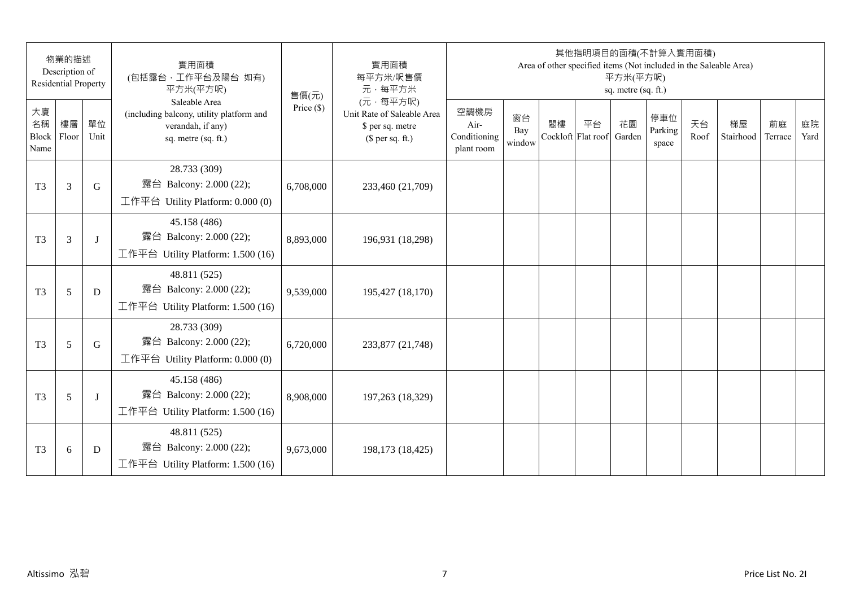|                                 | 物業的描述<br>Description of<br><b>Residential Property</b> |            | 實用面積<br>(包括露台,工作平台及陽台 如有)<br>平方米(平方呎)                                                                 | 售價(元)        | 實用面積<br>每平方米/呎售價<br>元·每平方米                                                     |                                            |                     |    | 其他指明項目的面積(不計算入實用面積)<br>Area of other specified items (Not included in the Saleable Area) | 平方米(平方呎)<br>sq. metre (sq. ft.) |                         |            |                 |               |            |
|---------------------------------|--------------------------------------------------------|------------|-------------------------------------------------------------------------------------------------------|--------------|--------------------------------------------------------------------------------|--------------------------------------------|---------------------|----|------------------------------------------------------------------------------------------|---------------------------------|-------------------------|------------|-----------------|---------------|------------|
| 大廈<br>名稱<br>Block Floor<br>Name | 樓層                                                     | 單位<br>Unit | Saleable Area<br>(including balcony, utility platform and<br>verandah, if any)<br>sq. metre (sq. ft.) | Price $(\$)$ | (元·每平方呎)<br>Unit Rate of Saleable Area<br>\$ per sq. metre<br>$$$ per sq. ft.) | 空調機房<br>Air-<br>Conditioning<br>plant room | 窗台<br>Bay<br>window | 閣樓 | 平台<br>Cockloft Flat roof                                                                 | 花園<br>Garden                    | 停車位<br>Parking<br>space | 天台<br>Roof | 梯屋<br>Stairhood | 前庭<br>Terrace | 庭院<br>Yard |
| T <sub>3</sub>                  | 3                                                      | G          | 28.733 (309)<br>露台 Balcony: 2.000 (22);<br>工作平台 Utility Platform: 0.000 (0)                           | 6,708,000    | 233,460 (21,709)                                                               |                                            |                     |    |                                                                                          |                                 |                         |            |                 |               |            |
| T <sub>3</sub>                  | 3                                                      | $\bf{J}$   | 45.158 (486)<br>露台 Balcony: 2.000 (22);<br>工作平台 Utility Platform: 1.500 (16)                          | 8,893,000    | 196,931 (18,298)                                                               |                                            |                     |    |                                                                                          |                                 |                         |            |                 |               |            |
| T <sub>3</sub>                  | 5                                                      | D          | 48.811 (525)<br>露台 Balcony: 2.000 (22);<br>工作平台 Utility Platform: 1.500 (16)                          | 9,539,000    | 195,427 (18,170)                                                               |                                            |                     |    |                                                                                          |                                 |                         |            |                 |               |            |
| T <sub>3</sub>                  | 5                                                      | G          | 28.733 (309)<br>露台 Balcony: 2.000 (22);<br>工作平台 Utility Platform: 0.000 (0)                           | 6,720,000    | 233,877 (21,748)                                                               |                                            |                     |    |                                                                                          |                                 |                         |            |                 |               |            |
| T <sub>3</sub>                  | 5                                                      | J          | 45.158 (486)<br>露台 Balcony: 2.000 (22);<br>工作平台 Utility Platform: 1.500 (16)                          | 8,908,000    | 197,263 (18,329)                                                               |                                            |                     |    |                                                                                          |                                 |                         |            |                 |               |            |
| T <sub>3</sub>                  | 6                                                      | D          | 48.811 (525)<br>露台 Balcony: 2.000 (22);<br>工作平台 Utility Platform: 1.500 (16)                          | 9,673,000    | 198,173 (18,425)                                                               |                                            |                     |    |                                                                                          |                                 |                         |            |                 |               |            |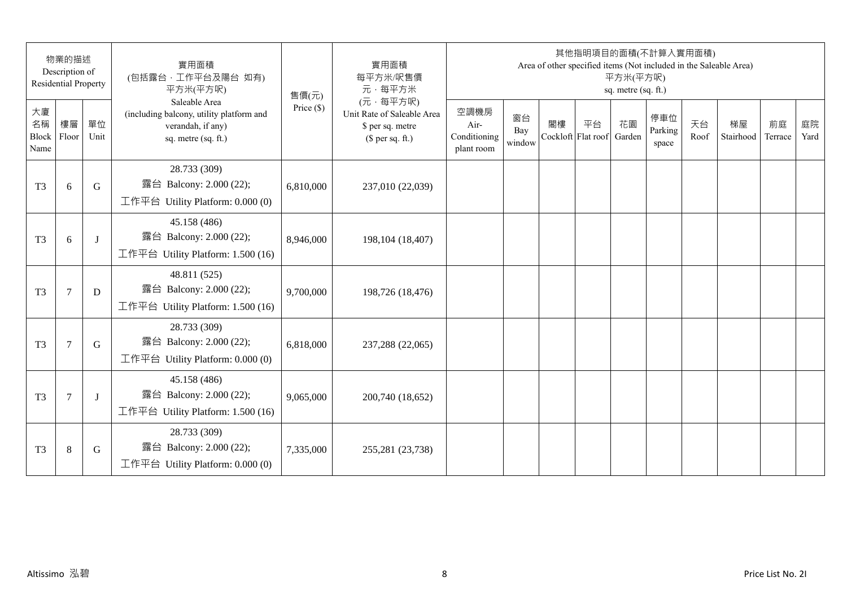|                                 | 物業的描述<br>Description of<br><b>Residential Property</b> |            | 實用面積<br>(包括露台,工作平台及陽台 如有)<br>平方米(平方呎)                                                                 | 售價(元)        | 實用面積<br>每平方米/呎售價<br>元·每平方米                                                     |                                            |                     |                          | 其他指明項目的面積(不計算入實用面積)<br>Area of other specified items (Not included in the Saleable Area) | 平方米(平方呎)<br>sq. metre (sq. ft.) |                         |            |                 |               |            |
|---------------------------------|--------------------------------------------------------|------------|-------------------------------------------------------------------------------------------------------|--------------|--------------------------------------------------------------------------------|--------------------------------------------|---------------------|--------------------------|------------------------------------------------------------------------------------------|---------------------------------|-------------------------|------------|-----------------|---------------|------------|
| 大廈<br>名稱<br>Block Floor<br>Name | 樓層                                                     | 單位<br>Unit | Saleable Area<br>(including balcony, utility platform and<br>verandah, if any)<br>sq. metre (sq. ft.) | Price $(\$)$ | (元·每平方呎)<br>Unit Rate of Saleable Area<br>\$ per sq. metre<br>$$$ per sq. ft.) | 空調機房<br>Air-<br>Conditioning<br>plant room | 窗台<br>Bay<br>window | 閣樓<br>Cockloft Flat roof | 平台                                                                                       | 花園<br>Garden                    | 停車位<br>Parking<br>space | 天台<br>Roof | 梯屋<br>Stairhood | 前庭<br>Terrace | 庭院<br>Yard |
| T <sub>3</sub>                  | 6                                                      | G          | 28.733 (309)<br>露台 Balcony: 2.000 (22);<br>工作平台 Utility Platform: 0.000 (0)                           | 6,810,000    | 237,010 (22,039)                                                               |                                            |                     |                          |                                                                                          |                                 |                         |            |                 |               |            |
| T <sub>3</sub>                  | 6                                                      | J          | 45.158 (486)<br>露台 Balcony: 2.000 (22);<br>工作平台 Utility Platform: 1.500 (16)                          | 8,946,000    | 198, 104 (18, 407)                                                             |                                            |                     |                          |                                                                                          |                                 |                         |            |                 |               |            |
| T <sub>3</sub>                  | $\tau$                                                 | D          | 48.811 (525)<br>露台 Balcony: 2.000 (22);<br>工作平台 Utility Platform: 1.500 (16)                          | 9,700,000    | 198,726 (18,476)                                                               |                                            |                     |                          |                                                                                          |                                 |                         |            |                 |               |            |
| T <sub>3</sub>                  | $\tau$                                                 | G          | 28.733 (309)<br>露台 Balcony: 2.000 (22);<br>工作平台 Utility Platform: 0.000 (0)                           | 6,818,000    | 237,288 (22,065)                                                               |                                            |                     |                          |                                                                                          |                                 |                         |            |                 |               |            |
| T <sub>3</sub>                  | $\overline{7}$                                         | J          | 45.158 (486)<br>露台 Balcony: 2.000 (22);<br>工作平台 Utility Platform: 1.500 (16)                          | 9,065,000    | 200,740 (18,652)                                                               |                                            |                     |                          |                                                                                          |                                 |                         |            |                 |               |            |
| T <sub>3</sub>                  | $\,8\,$                                                | G          | 28.733 (309)<br>露台 Balcony: 2.000 (22);<br>工作平台 Utility Platform: 0.000 (0)                           | 7,335,000    | 255,281 (23,738)                                                               |                                            |                     |                          |                                                                                          |                                 |                         |            |                 |               |            |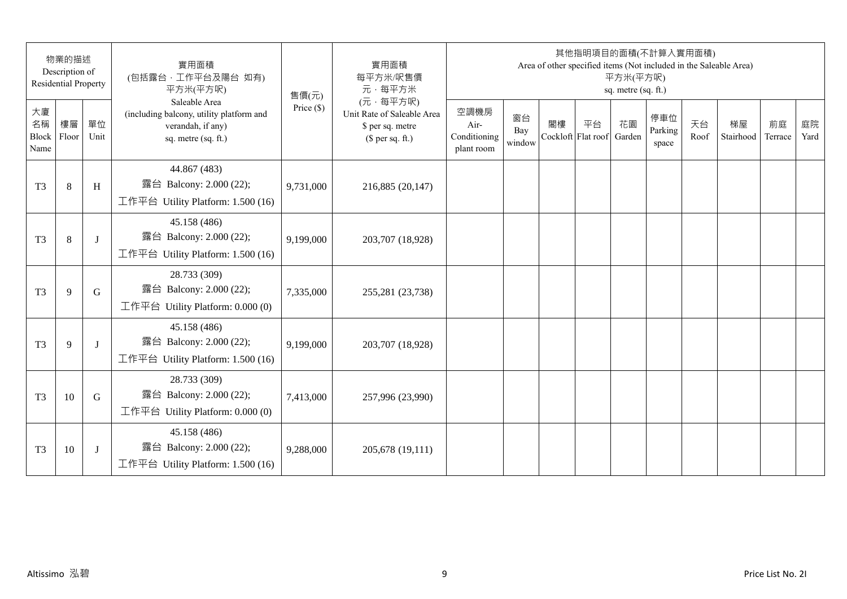|                                 | 物業的描述<br>Description of<br><b>Residential Property</b> |            | 實用面積<br>(包括露台,工作平台及陽台 如有)<br>平方米(平方呎)                                                                 | 售價(元)        | 實用面積<br>每平方米/呎售價<br>元·每平方米                                                     |                                            |                     |    | 其他指明項目的面積(不計算入實用面積)<br>Area of other specified items (Not included in the Saleable Area) | 平方米(平方呎)<br>sq. metre (sq. ft.) |                         |            |                 |               |            |
|---------------------------------|--------------------------------------------------------|------------|-------------------------------------------------------------------------------------------------------|--------------|--------------------------------------------------------------------------------|--------------------------------------------|---------------------|----|------------------------------------------------------------------------------------------|---------------------------------|-------------------------|------------|-----------------|---------------|------------|
| 大廈<br>名稱<br>Block Floor<br>Name | 樓層                                                     | 單位<br>Unit | Saleable Area<br>(including balcony, utility platform and<br>verandah, if any)<br>sq. metre (sq. ft.) | Price $(\$)$ | (元·每平方呎)<br>Unit Rate of Saleable Area<br>\$ per sq. metre<br>$$$ per sq. ft.) | 空調機房<br>Air-<br>Conditioning<br>plant room | 窗台<br>Bay<br>window | 閣樓 | 平台<br>Cockloft Flat roof                                                                 | 花園<br>Garden                    | 停車位<br>Parking<br>space | 天台<br>Roof | 梯屋<br>Stairhood | 前庭<br>Terrace | 庭院<br>Yard |
| T <sub>3</sub>                  | 8                                                      | H          | 44.867 (483)<br>露台 Balcony: 2.000 (22);<br>工作平台 Utility Platform: 1.500 (16)                          | 9,731,000    | 216,885 (20,147)                                                               |                                            |                     |    |                                                                                          |                                 |                         |            |                 |               |            |
| T <sub>3</sub>                  | 8                                                      | $\bf{J}$   | 45.158 (486)<br>露台 Balcony: 2.000 (22);<br>工作平台 Utility Platform: 1.500 (16)                          | 9,199,000    | 203,707 (18,928)                                                               |                                            |                     |    |                                                                                          |                                 |                         |            |                 |               |            |
| T <sub>3</sub>                  | 9                                                      | G          | 28.733 (309)<br>露台 Balcony: 2.000 (22);<br>工作平台 Utility Platform: 0.000 (0)                           | 7,335,000    | 255,281 (23,738)                                                               |                                            |                     |    |                                                                                          |                                 |                         |            |                 |               |            |
| T <sub>3</sub>                  | 9                                                      | $\bf{J}$   | 45.158 (486)<br>露台 Balcony: 2.000 (22);<br>工作平台 Utility Platform: 1.500 (16)                          | 9,199,000    | 203,707 (18,928)                                                               |                                            |                     |    |                                                                                          |                                 |                         |            |                 |               |            |
| T <sub>3</sub>                  | 10                                                     | G          | 28.733 (309)<br>露台 Balcony: 2.000 (22);<br>工作平台 Utility Platform: 0.000 (0)                           | 7,413,000    | 257,996 (23,990)                                                               |                                            |                     |    |                                                                                          |                                 |                         |            |                 |               |            |
| T <sub>3</sub>                  | 10                                                     |            | 45.158 (486)<br>露台 Balcony: 2.000 (22);<br>工作平台 Utility Platform: 1.500 (16)                          | 9,288,000    | 205,678 (19,111)                                                               |                                            |                     |    |                                                                                          |                                 |                         |            |                 |               |            |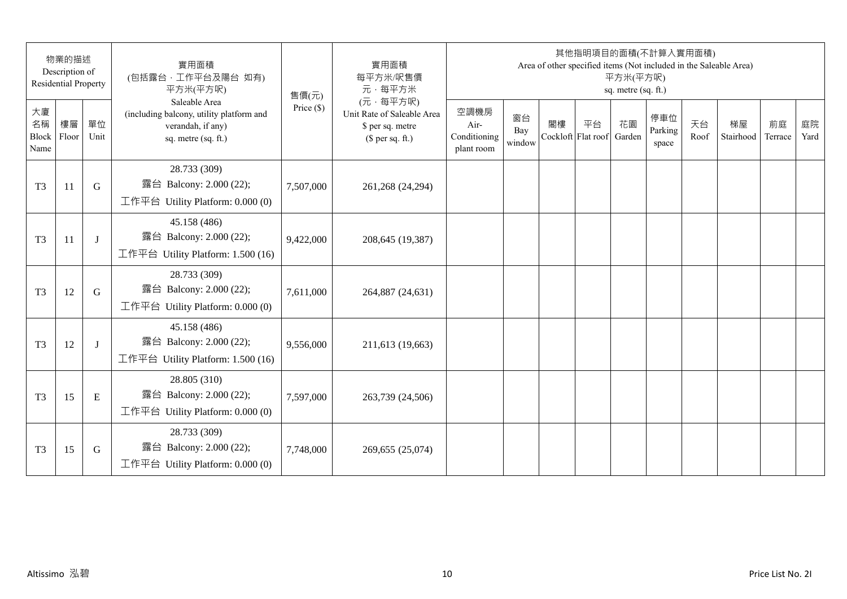|                                 | 物業的描述<br>Description of<br><b>Residential Property</b> |            | 實用面積<br>(包括露台,工作平台及陽台 如有)<br>平方米(平方呎)                                                                 | 售價(元)        | 實用面積<br>每平方米/呎售價<br>元·每平方米                                                     |                                            |                     |    | 其他指明項目的面積(不計算入實用面積)<br>Area of other specified items (Not included in the Saleable Area) | 平方米(平方呎)<br>sq. metre (sq. ft.) |                         |            |                 |               |            |
|---------------------------------|--------------------------------------------------------|------------|-------------------------------------------------------------------------------------------------------|--------------|--------------------------------------------------------------------------------|--------------------------------------------|---------------------|----|------------------------------------------------------------------------------------------|---------------------------------|-------------------------|------------|-----------------|---------------|------------|
| 大廈<br>名稱<br>Block Floor<br>Name | 樓層                                                     | 單位<br>Unit | Saleable Area<br>(including balcony, utility platform and<br>verandah, if any)<br>sq. metre (sq. ft.) | Price $(\$)$ | (元·每平方呎)<br>Unit Rate of Saleable Area<br>\$ per sq. metre<br>$$$ per sq. ft.) | 空調機房<br>Air-<br>Conditioning<br>plant room | 窗台<br>Bay<br>window | 閣樓 | 平台<br>Cockloft Flat roof                                                                 | 花園<br>Garden                    | 停車位<br>Parking<br>space | 天台<br>Roof | 梯屋<br>Stairhood | 前庭<br>Terrace | 庭院<br>Yard |
| T <sub>3</sub>                  | 11                                                     | G          | 28.733 (309)<br>露台 Balcony: 2.000 (22);<br>工作平台 Utility Platform: 0.000 (0)                           | 7,507,000    | 261,268 (24,294)                                                               |                                            |                     |    |                                                                                          |                                 |                         |            |                 |               |            |
| T <sub>3</sub>                  | 11                                                     | J          | 45.158 (486)<br>露台 Balcony: 2.000 (22);<br>工作平台 Utility Platform: 1.500 (16)                          | 9,422,000    | 208,645 (19,387)                                                               |                                            |                     |    |                                                                                          |                                 |                         |            |                 |               |            |
| T <sub>3</sub>                  | 12                                                     | G          | 28.733 (309)<br>露台 Balcony: 2.000 (22);<br>工作平台 Utility Platform: 0.000 (0)                           | 7,611,000    | 264,887 (24,631)                                                               |                                            |                     |    |                                                                                          |                                 |                         |            |                 |               |            |
| T <sub>3</sub>                  | 12                                                     | J          | 45.158 (486)<br>露台 Balcony: 2.000 (22);<br>工作平台 Utility Platform: 1.500 (16)                          | 9,556,000    | 211,613 (19,663)                                                               |                                            |                     |    |                                                                                          |                                 |                         |            |                 |               |            |
| T <sub>3</sub>                  | 15                                                     | E          | 28.805 (310)<br>露台 Balcony: 2.000 (22);<br>工作平台 Utility Platform: $0.000(0)$                          | 7,597,000    | 263,739 (24,506)                                                               |                                            |                     |    |                                                                                          |                                 |                         |            |                 |               |            |
| T <sub>3</sub>                  | 15                                                     | G          | 28.733 (309)<br>露台 Balcony: 2.000 (22);<br>工作平台 Utility Platform: 0.000 (0)                           | 7,748,000    | 269,655 (25,074)                                                               |                                            |                     |    |                                                                                          |                                 |                         |            |                 |               |            |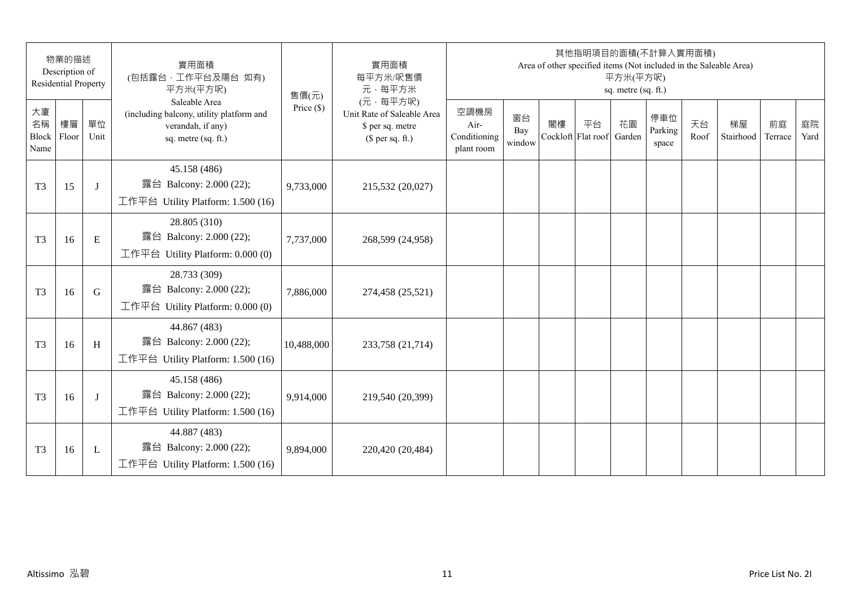| 物業的描述<br>Description of<br><b>Residential Property</b> |    | 實用面積<br>(包括露台,工作平台及陽台 如有)<br>平方米(平方呎) | 售價(元)                                                                                                 | 實用面積<br>每平方米/呎售價<br>元·每平方米 | 其他指明項目的面積(不計算入實用面積)<br>Area of other specified items (Not included in the Saleable Area)<br>平方米(平方呎)<br>sq. metre (sq. ft.) |                                            |                     |    |                          |              |                         |            |                 |               |            |
|--------------------------------------------------------|----|---------------------------------------|-------------------------------------------------------------------------------------------------------|----------------------------|-----------------------------------------------------------------------------------------------------------------------------|--------------------------------------------|---------------------|----|--------------------------|--------------|-------------------------|------------|-----------------|---------------|------------|
| 大廈<br>名稱<br>Block Floor<br>Name                        | 樓層 | 單位<br>Unit                            | Saleable Area<br>(including balcony, utility platform and<br>verandah, if any)<br>sq. metre (sq. ft.) | Price $(\$)$               | (元·每平方呎)<br>Unit Rate of Saleable Area<br>\$ per sq. metre<br>$$$ per sq. ft.)                                              | 空調機房<br>Air-<br>Conditioning<br>plant room | 窗台<br>Bay<br>window | 閣樓 | 平台<br>Cockloft Flat roof | 花園<br>Garden | 停車位<br>Parking<br>space | 天台<br>Roof | 梯屋<br>Stairhood | 前庭<br>Terrace | 庭院<br>Yard |
| T <sub>3</sub>                                         | 15 | J                                     | 45.158 (486)<br>露台 Balcony: 2.000 (22);<br>工作平台 Utility Platform: 1.500 (16)                          | 9,733,000                  | 215,532 (20,027)                                                                                                            |                                            |                     |    |                          |              |                         |            |                 |               |            |
| T <sub>3</sub>                                         | 16 | E                                     | 28.805 (310)<br>露台 Balcony: 2.000 (22);<br>工作平台 Utility Platform: 0.000 (0)                           | 7,737,000                  | 268,599 (24,958)                                                                                                            |                                            |                     |    |                          |              |                         |            |                 |               |            |
| T <sub>3</sub>                                         | 16 | G                                     | 28.733 (309)<br>露台 Balcony: 2.000 (22);<br>工作平台 Utility Platform: 0.000 (0)                           | 7,886,000                  | 274,458 (25,521)                                                                                                            |                                            |                     |    |                          |              |                         |            |                 |               |            |
| T <sub>3</sub>                                         | 16 | H                                     | 44.867 (483)<br>露台 Balcony: 2.000 (22);<br>工作平台 Utility Platform: 1.500 (16)                          | 10,488,000                 | 233,758 (21,714)                                                                                                            |                                            |                     |    |                          |              |                         |            |                 |               |            |
| T <sub>3</sub>                                         | 16 | J                                     | 45.158 (486)<br>露台 Balcony: 2.000 (22);<br>工作平台 Utility Platform: 1.500 (16)                          | 9,914,000                  | 219,540 (20,399)                                                                                                            |                                            |                     |    |                          |              |                         |            |                 |               |            |
| T <sub>3</sub>                                         | 16 | L                                     | 44.887 (483)<br>露台 Balcony: 2.000 (22);<br>工作平台 Utility Platform: 1.500 (16)                          | 9,894,000                  | 220,420 (20,484)                                                                                                            |                                            |                     |    |                          |              |                         |            |                 |               |            |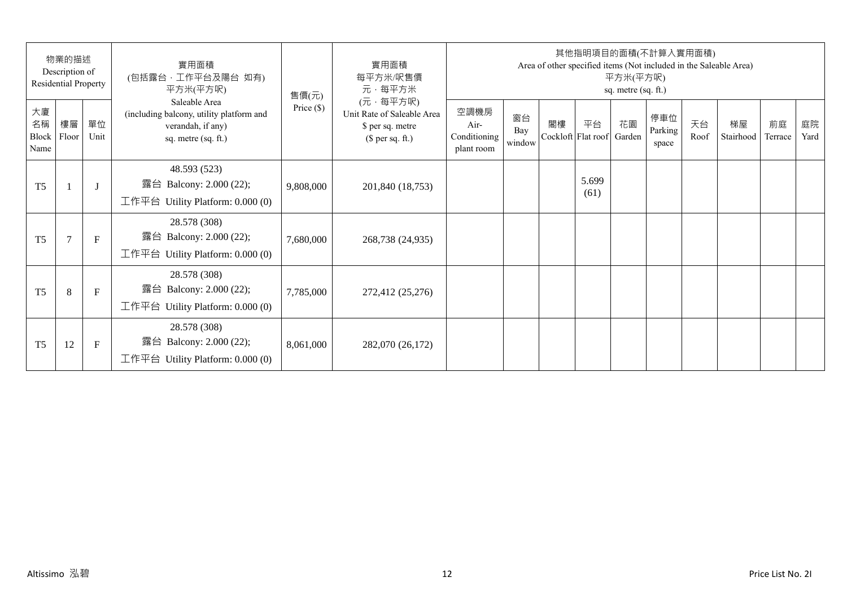| 物業的描述<br>Description of<br>Residential Property |                |              | 實用面積<br>(包括露台,工作平台及陽台 如有)<br>平方米(平方呎)                                                                 | 售價(元)        | 實用面積<br>每平方米/呎售價<br>元·每平方米                                                     | 其他指明項目的面積(不計算入實用面積)<br>Area of other specified items (Not included in the Saleable Area)<br>平方米(平方呎)<br>sq. metre (sq. ft.) |                     |    |                          |              |                         |            |                 |               |            |  |
|-------------------------------------------------|----------------|--------------|-------------------------------------------------------------------------------------------------------|--------------|--------------------------------------------------------------------------------|-----------------------------------------------------------------------------------------------------------------------------|---------------------|----|--------------------------|--------------|-------------------------|------------|-----------------|---------------|------------|--|
| 大廈<br>名稱<br>Block<br>Name                       | 樓層<br>Floor    | 單位<br>Unit   | Saleable Area<br>(including balcony, utility platform and<br>verandah, if any)<br>sq. metre (sq. ft.) | Price $(\$)$ | (元·每平方呎)<br>Unit Rate of Saleable Area<br>\$ per sq. metre<br>$$$ per sq. ft.) | 空調機房<br>Air-<br>Conditioning<br>plant room                                                                                  | 窗台<br>Bay<br>window | 閣樓 | 平台<br>Cockloft Flat roof | 花園<br>Garden | 停車位<br>Parking<br>space | 天台<br>Roof | 梯屋<br>Stairhood | 前庭<br>Terrace | 庭院<br>Yard |  |
| T <sub>5</sub>                                  |                | $\mathbf{J}$ | 48.593 (523)<br>露台 Balcony: 2.000 (22);<br>工作平台 Utility Platform: 0.000 (0)                           | 9,808,000    | 201,840 (18,753)                                                               |                                                                                                                             |                     |    | 5.699<br>(61)            |              |                         |            |                 |               |            |  |
| T <sub>5</sub>                                  | $\overline{7}$ | $\mathbf{F}$ | 28.578 (308)<br>露台 Balcony: 2.000 (22);<br>工作平台 Utility Platform: $0.000(0)$                          | 7,680,000    | 268,738 (24,935)                                                               |                                                                                                                             |                     |    |                          |              |                         |            |                 |               |            |  |
| T <sub>5</sub>                                  | 8              | $\mathbf{F}$ | 28.578 (308)<br>露台 Balcony: 2.000 (22);<br>工作平台 Utility Platform: $0.000(0)$                          | 7,785,000    | 272,412 (25,276)                                                               |                                                                                                                             |                     |    |                          |              |                         |            |                 |               |            |  |
| T <sub>5</sub>                                  | 12             | F            | 28.578 (308)<br>Balcony: 2.000 (22);<br>露台<br>工作平台 Utility Platform: $0.000(0)$                       | 8,061,000    | 282,070 (26,172)                                                               |                                                                                                                             |                     |    |                          |              |                         |            |                 |               |            |  |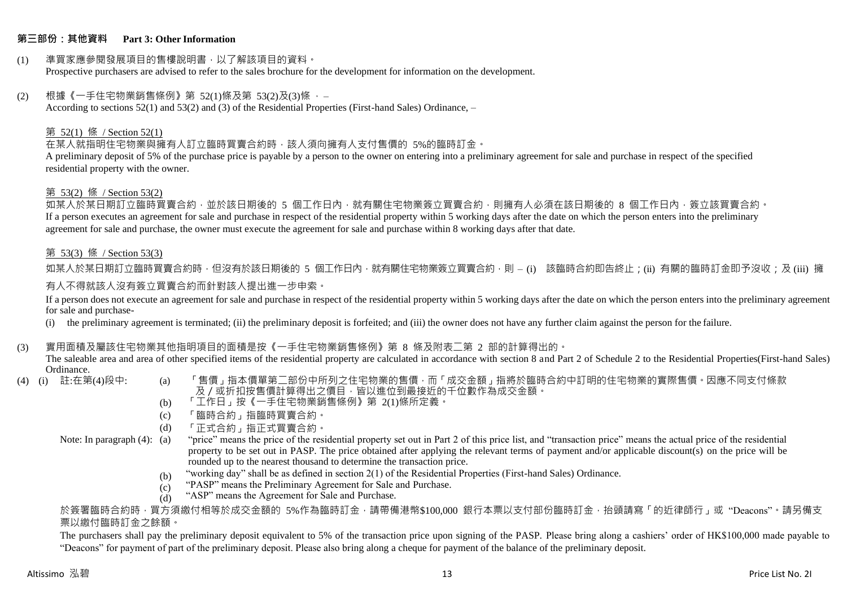### **第三部份:其他資料 Part 3: Other Information**

#### (1) 準買家應參閱發展項目的售樓說明書,以了解該項目的資料。 Prospective purchasers are advised to refer to the sales brochure for the development for information on the development.

### $(2)$  根據《一手住宅物業銷售條例》第 52(1)條及第 53(2)及(3)條,

According to sections 52(1) and 53(2) and (3) of the Residential Properties (First-hand Sales) Ordinance, –

## 第 52(1) 條 / Section 52(1)

在某人就指明住宅物業與擁有人訂立臨時買賣合約時,該人須向擁有人支付售價的 5%的臨時訂金。

A preliminary deposit of 5% of the purchase price is payable by a person to the owner on entering into a preliminary agreement for sale and purchase in respect of the specified residential property with the owner.

### 第 53(2) 條 / Section 53(2)

如某人於某日期訂立臨時買賣合約,並於該日期後的 5 個工作日內,就有關住宅物業簽立買賣合約,則擁有人必須在該日期後的 8 個工作日內,簽立該買賣合約。 If a person executes an agreement for sale and purchase in respect of the residential property within 5 working days after the date on which the person enters into the preliminary agreement for sale and purchase, the owner must execute the agreement for sale and purchase within 8 working days after that date.

## 第 53(3) 條 / Section 53(3)

如某人於某日期訂立臨時買賣合約時,但沒有於該日期後的 5 個工作日內,就有關住宅物業簽立買賣合約,則 – (i) 該臨時合約即告終止;(ii) 有關的臨時訂金即予沒收;及 (iii) 擁 有人不得就該人沒有簽立買賣合約而針對該人提出進一步申索。

If a person does not execute an agreement for sale and purchase in respect of the residential property within 5 working days after the date on which the person enters into the preliminary agreement for sale and purchase-

(i) the preliminary agreement is terminated; (ii) the preliminary deposit is forfeited; and (iii) the owner does not have any further claim against the person for the failure.

### (3) 實用面積及屬該住宅物業其他指明項目的面積是按《一手住宅物業銷售條例》第 8 條及附表二第 2 部的計算得出的。

The saleable area and area of other specified items of the residential property are calculated in accordance with section 8 and Part 2 of Schedule 2 to the Residential Properties(First-hand Sales) Ordinance.<br>(4) (i) 註:在第(4)段中:

- 
- (a) 「售價」指本價單第二部份中所列之住宅物業的售價,而「成交金額」指將於臨時合約中訂明的住宅物業的實際售價。因應不同支付條款 及/或折扣按售價計算得出之價目,皆以進位到最接近的千位數作為成交金額。
- (b) 「工作日」按《一手住宅物業銷售條例》第 2(1)條所定義。
- (c) 「臨時合約」指臨時買賣合約。
- (d) 「正式合約」指正式買賣合約。
- Note: In paragraph (4): (a)
- "price" means the price of the residential property set out in Part 2 of this price list, and "transaction price" means the actual price of the residential property to be set out in PASP. The price obtained after applying the relevant terms of payment and/or applicable discount(s) on the price will be rounded up to the nearest thousand to determine the transaction price.
	- (b) "working day" shall be as defined in section 2(1) of the Residential Properties (First-hand Sales) Ordinance.
	- (c) "PASP" means the Preliminary Agreement for Sale and Purchase.
	- (d) "ASP" means the Agreement for Sale and Purchase.

於簽署臨時合約時,買方須繳付相等於成交金額的 5%作為臨時訂金,請帶備港幣\$100,000 銀行本票以支付部份臨時訂金,抬頭請寫「的近律師行」或"Deacons"。請另備支 票以繳付臨時訂金之餘額。

The purchasers shall pay the preliminary deposit equivalent to 5% of the transaction price upon signing of the PASP. Please bring along a cashiers' order of HK\$100,000 made payable to "Deacons" for payment of part of the preliminary deposit. Please also bring along a cheque for payment of the balance of the preliminary deposit.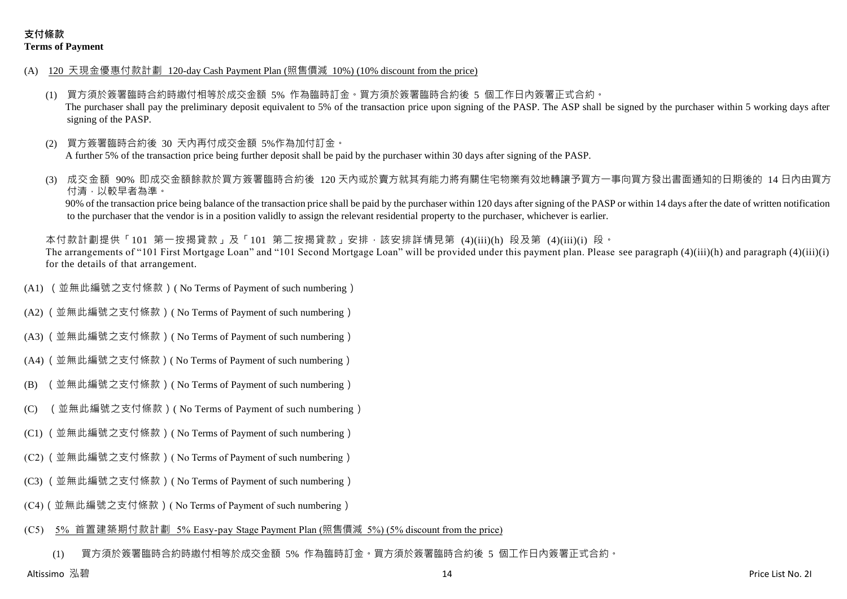- (A) 120 天現金優惠付款計劃 120-day Cash Payment Plan (照售價減 10%) (10% discount from the price)
	- (1) 買方須於簽署臨時合約時繳付相等於成交金額 5% 作為臨時訂金。買方須於簽署臨時合約後 5 個工作日內簽署正式合約。 The purchaser shall pay the preliminary deposit equivalent to 5% of the transaction price upon signing of the PASP. The ASP shall be signed by the purchaser within 5 working days after signing of the PASP.
	- (2) 買方簽署臨時合約後 30 天內再付成交金額 5%作為加付訂金。 A further 5% of the transaction price being further deposit shall be paid by the purchaser within 30 days after signing of the PASP.
	- 成交金額 90% 即成交金額餘款於買方簽署臨時合約後 120 天内或於賣方就其有能力將有關住宅物業有效地轉讓予買方一事向買方發出書面通知的日期後的 14 日內由買方 付清,以較早者為準。

90% of the transaction price being balance of the transaction price shall be paid by the purchaser within 120 days after signing of the PASP or within 14 days after the date of written notification to the purchaser that the vendor is in a position validly to assign the relevant residential property to the purchaser, whichever is earlier.

本付款計劃提供「101 第一按揭貸款」及「101 第二按揭貸款」安排,該安排詳情見第 (4)(iii)(h) 段及第 (4)(iii)(i) 段。 The arrangements of "101 First Mortgage Loan" and "101 Second Mortgage Loan" will be provided under this payment plan. Please see paragraph (4)(iii)(h) and paragraph (4)(iii)(i) for the details of that arrangement.

- (A1) (並無此編號之支付條款)( No Terms of Payment of such numbering)
- (A2) (並無此編號之支付條款)( No Terms of Payment of such numbering)
- (A3) (並無此編號之支付條款)( No Terms of Payment of such numbering)
- (A4) (並無此編號之支付條款)( No Terms of Payment of such numbering)
- (B) (並無此編號之支付條款)( No Terms of Payment of such numbering)
- (C) (並無此編號之支付條款)( No Terms of Payment of such numbering)
- (C1) (並無此編號之支付條款)( No Terms of Payment of such numbering)
- (C2) (並無此編號之支付條款)( No Terms of Payment of such numbering)
- (C3) (並無此編號之支付條款)( No Terms of Payment of such numbering)
- (C4)(並無此編號之支付條款)( No Terms of Payment of such numbering)

#### (C5) 5% 首置建築期付款計劃 5% Easy-pay Stage Payment Plan (照售價減 5%) (5% discount from the price)

(1) 買方須於簽署臨時合約時繳付相等於成交金額 5% 作為臨時訂金。買方須於簽署臨時合約後 5 個工作日內簽署正式合約。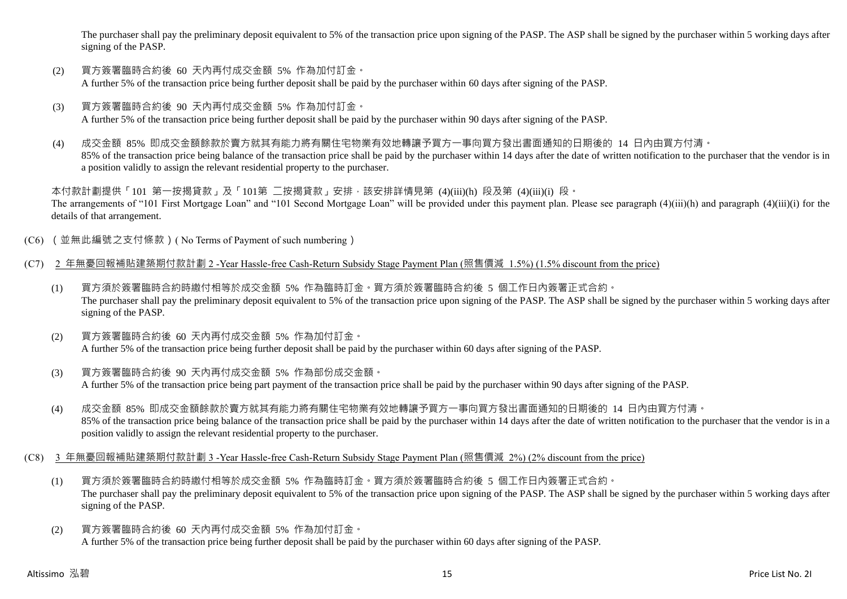The purchaser shall pay the preliminary deposit equivalent to 5% of the transaction price upon signing of the PASP. The ASP shall be signed by the purchaser within 5 working days after signing of the PASP.

- (2) 買方簽署臨時合約後 60 天內再付成交金額 5% 作為加付訂金。 A further 5% of the transaction price being further deposit shall be paid by the purchaser within 60 days after signing of the PASP.
- (3) 買方簽署臨時合約後 90 天內再付成交金額 5% 作為加付訂金。 A further 5% of the transaction price being further deposit shall be paid by the purchaser within 90 days after signing of the PASP.
- (4) 成交金額 85% 即成交金額餘款於賣方就其有能力將有關住宅物業有效地轉讓予買方一事向買方發出書面通知的日期後的 14 日內由買方付清。 85% of the transaction price being balance of the transaction price shall be paid by the purchaser within 14 days after the date of written notification to the purchaser that the vendor is in a position validly to assign the relevant residential property to the purchaser.

本付款計劃提供「101 第一按揭貸款」及「101第 二按揭貸款」安排,該安排詳情見第 (4)(iii)(h) 段及第 (4)(iii)(i) 段。 The arrangements of "101 First Mortgage Loan" and "101 Second Mortgage Loan" will be provided under this payment plan. Please see paragraph (4)(iii)(h) and paragraph (4)(iii)(i) for the details of that arrangement.

- (C6) (並無此編號之支付條款)( No Terms of Payment of such numbering)
- (C7) 2 年無憂回報補貼建築期付款計劃 2 -Year Hassle-free Cash-Return Subsidy Stage Payment Plan (照售價減 1.5%) (1.5% discount from the price)
	- (1) 買方須於簽署臨時合約時繳付相等於成交金額 5% 作為臨時訂金。買方須於簽署臨時合約後 5 個工作日內簽署正式合約。 The purchaser shall pay the preliminary deposit equivalent to 5% of the transaction price upon signing of the PASP. The ASP shall be signed by the purchaser within 5 working days after signing of the PASP.
	- (2) 買方簽署臨時合約後 60 天內再付成交金額 5% 作為加付訂金。 A further 5% of the transaction price being further deposit shall be paid by the purchaser within 60 days after signing of the PASP.
	- (3) 買方簽署臨時合約後 90 天內再付成交金額 5% 作為部份成交金額。 A further 5% of the transaction price being part payment of the transaction price shall be paid by the purchaser within 90 days after signing of the PASP.
	- (4) 成交金額 85% 即成交金額餘款於賣方就其有能力將有關住宅物業有效地轉讓予買方一事向買方發出書面通知的日期後的 14 日內由買方付清。 85% of the transaction price being balance of the transaction price shall be paid by the purchaser within 14 days after the date of written notification to the purchaser that the vendor is in a position validly to assign the relevant residential property to the purchaser.
- (C8) 3 年無憂回報補貼建築期付款計劃 3 -Year Hassle-free Cash-Return Subsidy Stage Payment Plan (照售價減 2%) (2% discount from the price)
	- (1) 買方須於簽署臨時合約時繳付相等於成交金額 5% 作為臨時訂金。買方須於簽署臨時合約後 5 個工作日內簽署正式合約。 The purchaser shall pay the preliminary deposit equivalent to 5% of the transaction price upon signing of the PASP. The ASP shall be signed by the purchaser within 5 working days after signing of the PASP.
	- (2) 買方簽署臨時合約後 60 天內再付成交金額 5% 作為加付訂金。 A further 5% of the transaction price being further deposit shall be paid by the purchaser within 60 days after signing of the PASP.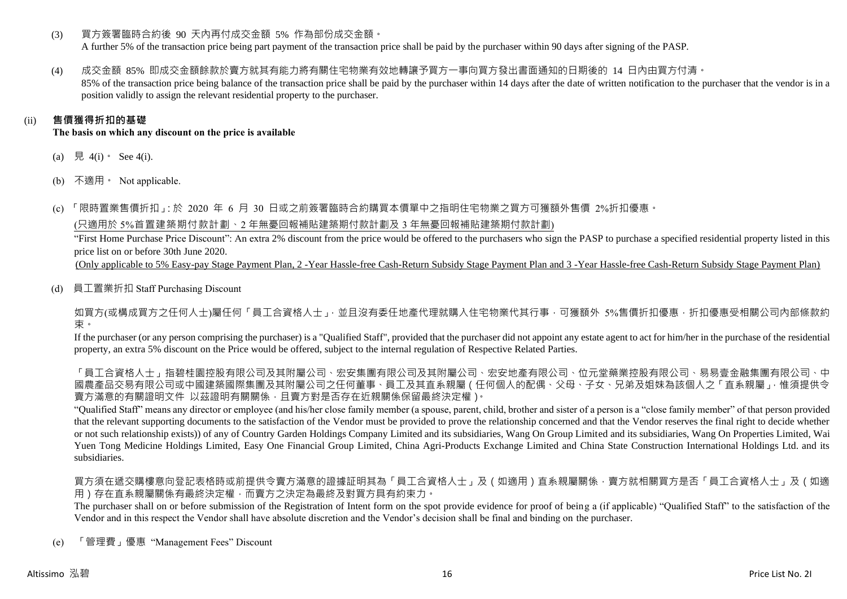(3) 買方簽署臨時合約後 90 天內再付成交金額 5% 作為部份成交金額。

A further 5% of the transaction price being part payment of the transaction price shall be paid by the purchaser within 90 days after signing of the PASP.

(4) 成交金額 85% 即成交金額餘款於賣方就其有能力將有關住宅物業有效地轉讓予買方一事向買方發出書面通知的日期後的 14 日內由買方付清。 85% of the transaction price being balance of the transaction price shall be paid by the purchaser within 14 days after the date of written notification to the purchaser that the vendor is in a position validly to assign the relevant residential property to the purchaser.

# (ii) **售價獲得折扣的基礎**

**The basis on which any discount on the price is available**

- (a) 見 4(i)  $\text{See } 4(i)$ .
- (b) 不適用。 Not applicable.

(c) 「限時置業售價折扣」:於 2020 年 6 月 30 日或之前簽署臨時合約購買本價單中之指明住宅物業之買方可獲額外售價 2%折扣優惠。

(只適用於 5%首置建築期付款計劃、2 年無憂回報補貼建築期付款計劃及 3 年無憂回報補貼建築期付款計劃)

"First Home Purchase Price Discount": An extra 2% discount from the price would be offered to the purchasers who sign the PASP to purchase a specified residential property listed in this price list on or before 30th June 2020.

(Only applicable to 5% Easy-pay Stage Payment Plan, 2 -Year Hassle-free Cash-Return Subsidy Stage Payment Plan and 3 -Year Hassle-free Cash-Return Subsidy Stage Payment Plan)

(d) 員工置業折扣 Staff Purchasing Discount

如買方(或構成買方之任何人士)屬任何「員工合資格人士」,並且沒有委任地產代理就購入住宅物業代其行事,可獲額外 5%售價折扣優惠,折扣優惠受相關公司內部條款約 束。

If the purchaser (or any person comprising the purchaser) is a "Qualified Staff", provided that the purchaser did not appoint any estate agent to act for him/her in the purchase of the residential property, an extra 5% discount on the Price would be offered, subject to the internal regulation of Respective Related Parties.

「員工合資格人士」指碧桂園控股有限公司及其國有限公司及其內屬公司、宏安地產有限公司、位元堂藥業控股有限公司、易易壹金融集團有限公司、中 國農產品交易有限公司或中國建築國際集團及其附屬公司之任何董事、員工及其直系親屬(任何個人的配偶、父母、子女、兄弟及姐妹為該個人之「直系親屬」,惟須提供令 賣方滿意的有關證明文件 以茲證明有關關係,且賣方對是否存在近親關係保留最終決定權)。

"Qualified Staff" means any director or employee (and his/her close family member (a spouse, parent, child, brother and sister of a person is a "close family member" of that person provided that the relevant supporting documents to the satisfaction of the Vendor must be provided to prove the relationship concerned and that the Vendor reserves the final right to decide whether or not such relationship exists)) of any of Country Garden Holdings Company Limited and its subsidiaries, Wang On Group Limited and its subsidiaries, Wang On Properties Limited, Wai Yuen Tong Medicine Holdings Limited, Easy One Financial Group Limited, China Agri-Products Exchange Limited and China State Construction International Holdings Ltd. and its subsidiaries.

買方須在遞交購樓意向登記表格時或前提供令賣方滿意的證據証明其為「員工合資格人士」及(如適用)直系親屬關係,賣方就相關買方是否「員工合資格人士」及(如適 用)存在直系親屬關係有最終決定權,而賣方之決定為最終及對買方具有約束力。

The purchaser shall on or before submission of the Registration of Intent form on the spot provide evidence for proof of being a (if applicable) "Qualified Staff" to the satisfaction of the Vendor and in this respect the Vendor shall have absolute discretion and the Vendor's decision shall be final and binding on the purchaser.

(e) 「管理費」優惠 "Management Fees" Discount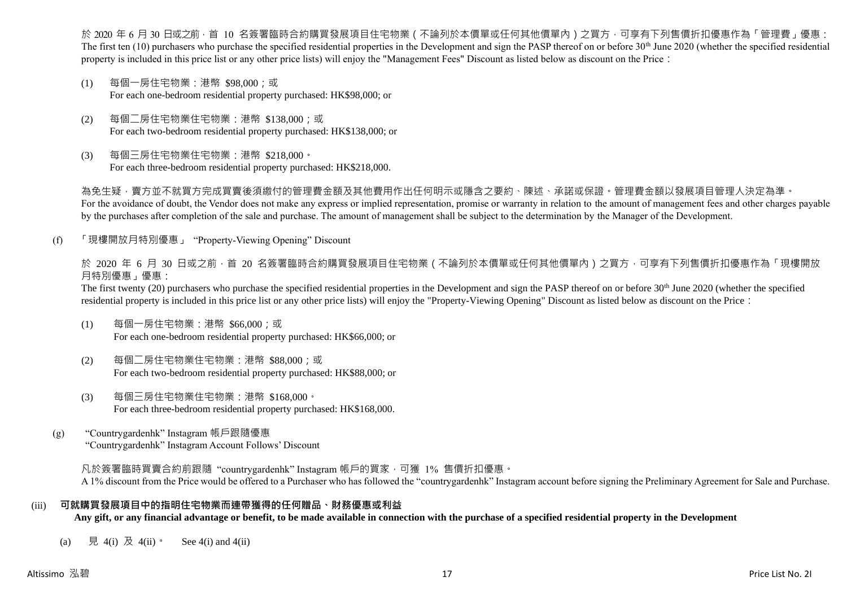於 2020 年 6 月 30 日或之前 · 首 10 名簽署臨時合約購買發展項目住宅物業(不論列於本價單或任何其他價單內)之買方 · 可享有下列售價折扣優惠作為「管理費」優惠: The first ten  $(10)$  purchasers who purchase the specified residential properties in the Development and sign the PASP thereof on or before 30<sup>th</sup> June 2020 (whether the specified residential property is included in this price list or any other price lists) will enjoy the "Management Fees" Discount as listed below as discount on the Price:

- (1) 每個一房住宅物業:港幣 \$98,000;或 For each one-bedroom residential property purchased: HK\$98,000; or
- (2) 每個二房住宅物業住宅物業:港幣 \$138,000;或 For each two-bedroom residential property purchased: HK\$138,000; or
- (3) 每個三房住宅物業住宅物業:港幣 \$218,000。 For each three-bedroom residential property purchased: HK\$218,000.

為免生疑,賣方並不就買方完成買賣後須繳付的管理費金額及其他費用作出任何明示或隱含之要約、陳述、承諾或保證。管理費金額以發展項目管理人決定為準。 For the avoidance of doubt, the Vendor does not make any express or implied representation, promise or warranty in relation to the amount of management fees and other charges payable by the purchases after completion of the sale and purchase. The amount of management shall be subject to the determination by the Manager of the Development.

(f) 「現樓開放月特別優惠」 "Property-Viewing Opening" Discount

於 2020 年 6 月 30 日或之前 · 首 20 名簽署臨時合約購買發展項目住宅物業 ( 不論列於本價單或任何其他價單內 ) 之買方 · 可享有下列售價折扣優惠作為「現樓開放 月特別優惠」優惠:

The first twenty (20) purchasers who purchase the specified residential properties in the Development and sign the PASP thereof on or before 30<sup>th</sup> June 2020 (whether the specified residential property is included in this price list or any other price lists) will enjoy the "Property-Viewing Opening" Discount as listed below as discount on the Price:

- (1) 每個一房住宅物業:港幣 \$66,000;或 For each one-bedroom residential property purchased: HK\$66,000; or
- (2) 每個二房住宅物業住宅物業:港幣 \$88,000;或 For each two-bedroom residential property purchased: HK\$88,000; or
- (3) 每個三房住宅物業住宅物業:港幣 \$168,000。 For each three-bedroom residential property purchased: HK\$168,000.
- (g) "Countrygardenhk" Instagram 帳戶跟隨優惠 "Countrygardenhk" Instagram Account Follows' Discount

凡於簽署臨時買賣合約前跟隨"countrygardenhk" Instagram 帳戶的買家,可獲 1% 售價折扣優惠。 A 1% discount from the Price would be offered to a Purchaser who has followed the "countrygardenhk" Instagram account before signing the Preliminary Agreement for Sale and Purchase.

### (iii) **可就購買發展項目中的指明住宅物業而連帶獲得的任何贈品、財務優惠或利益**

**Any gift, or any financial advantage or benefit, to be made available in connection with the purchase of a specified residential property in the Development**

(a) 見 4(i) 及 4(ii)。 See 4(i) and 4(ii)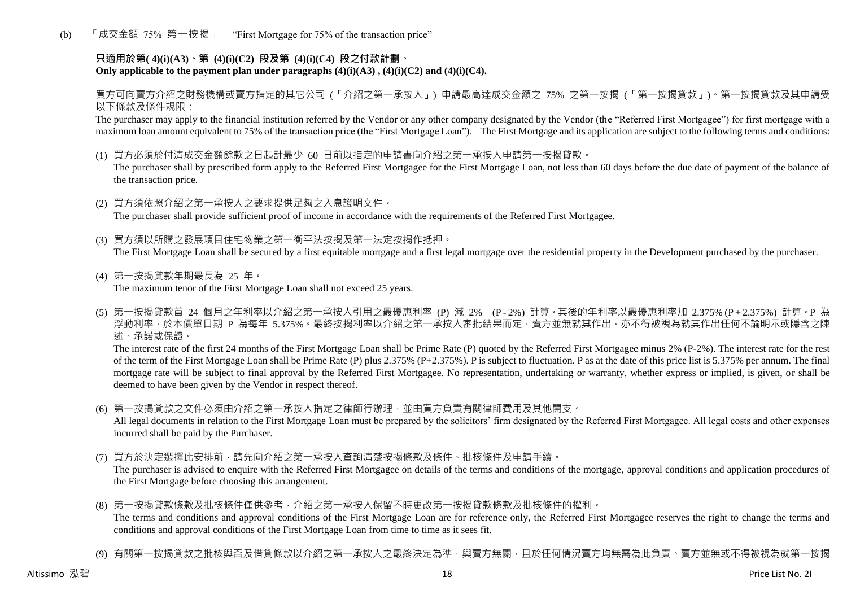(b) 「成交金額 75% 第一按揭」 "First Mortgage for 75% of the transaction price"

# **只適用於第( 4)(i)(A3)、第 (4)(i)(C2) 段及第 (4)(i)(C4) 段之付款計劃。** Only applicable to the payment plan under paragraphs  $(4)(i)(A3)$ ,  $(4)(i)(C2)$  and  $(4)(i)(C4)$ .

買方可向賣方介紹之財務機構或賣方指定的其它公司 (「介紹之第一承按人」) 申請最高達成交金額之 75% 之第一按揭 (「第一按揭貸款」)。第一按揭貸款及其申請受 以下條款及條件規限:

The purchaser may apply to the financial institution referred by the Vendor or any other company designated by the Vendor (the "Referred First Mortgagee") for first mortgage with a maximum loan amount equivalent to 75% of the transaction price (the "First Mortgage Loan"). The First Mortgage and its application are subject to the following terms and conditions:

(1) 買方必須於付清成交金額餘款之日起計最少 60 日前以指定的申請書向介紹之第一承按人申請第一按揭貸款。

The purchaser shall by prescribed form apply to the Referred First Mortgagee for the First Mortgage Loan, not less than 60 days before the due date of payment of the balance of the transaction price.

- (2) 買方須依照介紹之第一承按人之要求提供足夠之入息證明文件。 The purchaser shall provide sufficient proof of income in accordance with the requirements of the Referred First Mortgagee.
- (3) 買方須以所購之發展項目住宅物業之第一衡平法按揭及第一法定按揭作抵押。 The First Mortgage Loan shall be secured by a first equitable mortgage and a first legal mortgage over the residential property in the Development purchased by the purchaser.
- (4) 第一按揭貸款年期最長為 25 年。 The maximum tenor of the First Mortgage Loan shall not exceed 25 years.
- (5) 第一按揭貸款首 24 個月之年利率以介紹之第一承按人引用之最優惠利率 (P) 減 2% (P 2%) 計算。其後的年利率以最優惠利率加 2.375% (P + 2.375%) 計算。P 為 浮動利率,於本價單日期 P 為每年 5.375%。最終按揭利率以介紹之第一承按人審批結果而定,賣方並無就其作出,亦不得被視為就其作出任何不論明示或隱含之陳 述、承諾或保證。

The interest rate of the first 24 months of the First Mortgage Loan shall be Prime Rate (P) quoted by the Referred First Mortgagee minus 2% (P-2%). The interest rate for the rest of the term of the First Mortgage Loan shall be Prime Rate (P) plus 2.375% (P+2.375%). P is subject to fluctuation. P as at the date of this price list is 5.375% per annum. The final mortgage rate will be subject to final approval by the Referred First Mortgagee. No representation, undertaking or warranty, whether express or implied, is given, or shall be deemed to have been given by the Vendor in respect thereof.

(6) 第一按揭貸款之文件必須由介紹之第一承按人指定之律師行辦理,並由買方負責有關律師費用及其他開支。

All legal documents in relation to the First Mortgage Loan must be prepared by the solicitors' firm designated by the Referred First Mortgagee. All legal costs and other expenses incurred shall be paid by the Purchaser.

(7) 買方於決定選擇此安排前,請先向介紹之第一承按人查詢清楚按揭條款及條件、批核條件及申請手續。

The purchaser is advised to enquire with the Referred First Mortgagee on details of the terms and conditions of the mortgage, approval conditions and application procedures of the First Mortgage before choosing this arrangement.

- (8) 第一按揭貸款條款及批核條件僅供參考,介紹之第一承按人保留不時更改第一按揭貸款條款及批核條件的權利。 The terms and conditions and approval conditions of the First Mortgage Loan are for reference only, the Referred First Mortgagee reserves the right to change the terms and conditions and approval conditions of the First Mortgage Loan from time to time as it sees fit.
- (9) 有關第一按揭貸款之批核與否及借貸條款以介紹之第一承按人之最終決定為準,與賣方無關,目於任何情況賣方均無需為此負責。賣方並無或不得被視為就第一按揭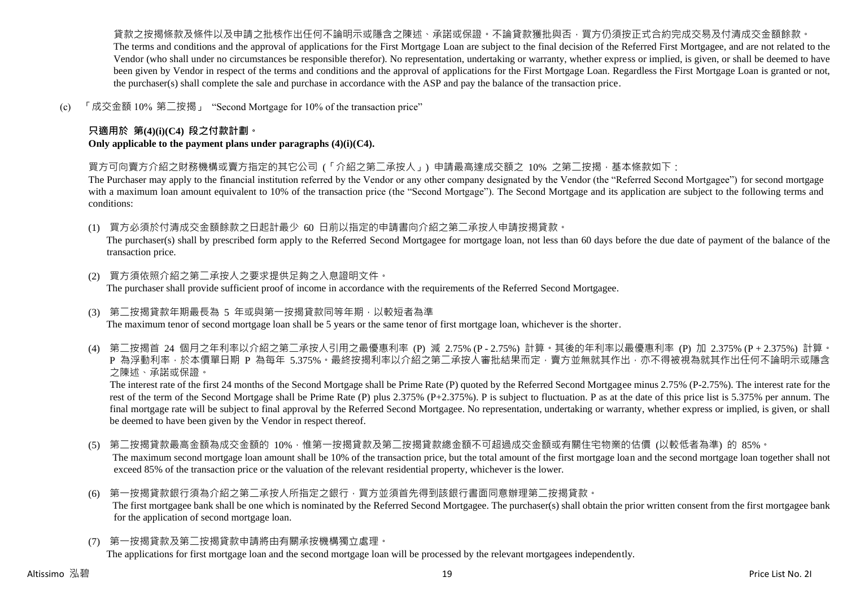貨款之按揭條款及條件以及申請之批核作出任何不論明示或隱含之陳述、承諾或保證。不論貸款獲批與否,買方仍須按正式合約完成交易及付清成交金額餘款。 The terms and conditions and the approval of applications for the First Mortgage Loan are subject to the final decision of the Referred First Mortgagee, and are not related to the Vendor (who shall under no circumstances be responsible therefor). No representation, undertaking or warranty, whether express or implied, is given, or shall be deemed to have been given by Vendor in respect of the terms and conditions and the approval of applications for the First Mortgage Loan. Regardless the First Mortgage Loan is granted or not, the purchaser(s) shall complete the sale and purchase in accordance with the ASP and pay the balance of the transaction price.

(c) 「成交金額 10% 第二按揭」 "Second Mortgage for 10% of the transaction price"

# **只適用於 第(4)(i)(C4) 段之付款計劃。**

**Only applicable to the payment plans under paragraphs (4)(i)(C4).**

買方可向賣方介紹之財務機構或賣方指定的其它公司 (「介紹之第二承按人」) 申請最高達成交額之 10% 之第二按揭,基本條款如下:

The Purchaser may apply to the financial institution referred by the Vendor or any other company designated by the Vendor (the "Referred Second Mortgagee") for second mortgage with a maximum loan amount equivalent to 10% of the transaction price (the "Second Mortgage"). The Second Mortgage and its application are subject to the following terms and conditions:

(1) 買方必須於付清成交金額餘款之日起計最少 60 日前以指定的申請書向介紹之第二承按人申請按揭貸款。

The purchaser(s) shall by prescribed form apply to the Referred Second Mortgagee for mortgage loan, not less than 60 days before the due date of payment of the balance of the transaction price.

- (2) 買方須依照介紹之第二承按人之要求提供足夠之入息證明文件。 The purchaser shall provide sufficient proof of income in accordance with the requirements of the Referred Second Mortgagee.
- (3) 第二按揭貸款年期最長為 5 年或與第一按揭貸款同等年期,以較短者為準 The maximum tenor of second mortgage loan shall be 5 years or the same tenor of first mortgage loan, whichever is the shorter.
- (4) 第二按揭首 24 個月之年利率以介紹之第二承按人引用之最優惠利率 (P) 減 2.75% (P 2.75%) 計算。其後的年利率以最優惠利率 (P) 加 2.375% (P + 2.375%) 計算。 P 為浮動利率,於本價單日期 P 為每年 5.375%。最終按揭利率以介紹之第二承按人審批結果而定,賣方並無就其作出,亦不得被視為就其作出任何不論明示或隱含 之陳述、承諾或保證。

The interest rate of the first 24 months of the Second Mortgage shall be Prime Rate (P) quoted by the Referred Second Mortgagee minus 2.75% (P-2.75%). The interest rate for the rest of the term of the Second Mortgage shall be Prime Rate (P) plus 2.375% (P+2.375%). P is subject to fluctuation. P as at the date of this price list is 5.375% per annum. The final mortgage rate will be subject to final approval by the Referred Second Mortgagee. No representation, undertaking or warranty, whether express or implied, is given, or shall be deemed to have been given by the Vendor in respect thereof.

- (5) 第二按揭貸款最高金額為成交金額的 10%,惟第一按揭貸款及第二按揭貸款總金額不可超過成交金額或有關住宅物業的估價 (以較低者為準) 的 85%。 The maximum second mortgage loan amount shall be 10% of the transaction price, but the total amount of the first mortgage loan and the second mortgage loan together shall not exceed 85% of the transaction price or the valuation of the relevant residential property, whichever is the lower.
- (6) 第一按揭貸款銀行須為介紹之第二承按人所指定之銀行,買方並須首先得到該銀行書面同意辦理第二按揭貸款。 The first mortgagee bank shall be one which is nominated by the Referred Second Mortgagee. The purchaser(s) shall obtain the prior written consent from the first mortgagee bank for the application of second mortgage loan.
- (7) 第一按揭貸款及第二按揭貸款申請將由有關承按機構獨立處理。

The applications for first mortgage loan and the second mortgage loan will be processed by the relevant mortgagees independently.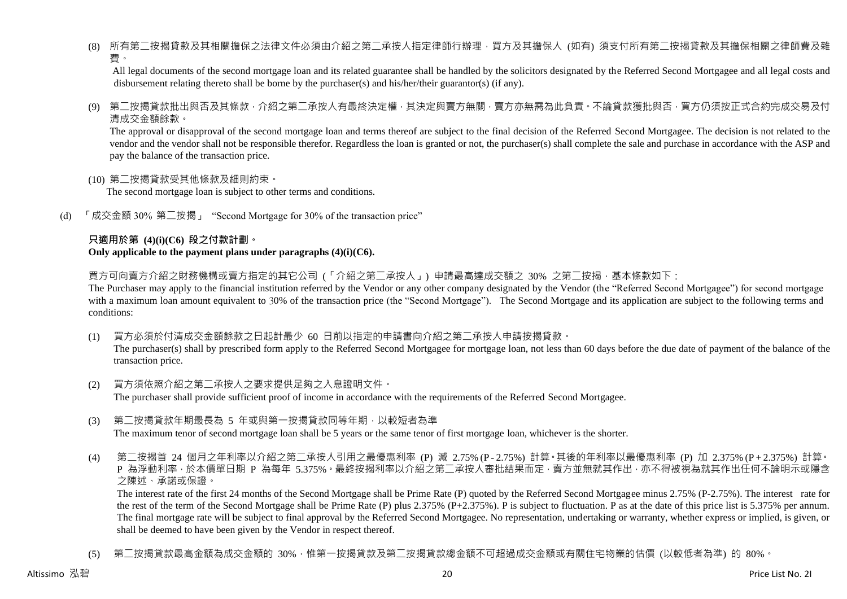(8) 所有第二按揭貸款及其相關擔保之法律文件必須由介紹之第二承按人指定律師行辦理,買方及其擔保人 (如有) 須支付所有第二按揭貸款及其擔保相關之律師費及雜 費。

All legal documents of the second mortgage loan and its related guarantee shall be handled by the solicitors designated by the Referred Second Mortgagee and all legal costs and disbursement relating thereto shall be borne by the purchaser(s) and his/her/their guarantor(s) (if any).

(9) 第二按揭貸款批出與否及其條款,介紹之第二承按人有最終決定權,其決定與賣方無關,賣方亦無需為此負責。不論貸款獲批與否,買方仍須按正式合約完成交易及付 清成交金額餘款。

The approval or disapproval of the second mortgage loan and terms thereof are subject to the final decision of the Referred Second Mortgagee. The decision is not related to the vendor and the vendor shall not be responsible therefor. Regardless the loan is granted or not, the purchaser(s) shall complete the sale and purchase in accordance with the ASP and pay the balance of the transaction price.

(10) 第二按揭貸款受其他條款及細則約束。

The second mortgage loan is subject to other terms and conditions.

(d) 「成交金額 30% 第二按揭」 "Second Mortgage for 30% of the transaction price"

#### **只適用於第 (4)(i)(C6) 段之付款計劃。 Only applicable to the payment plans under paragraphs (4)(i)(C6).**

買方可向賣方介紹之財務機構或賣方指定的其它公司 (「介紹之第二承按人」) 申請最高達成交額之 30% 之第二按揭 · 基本條款如下:

The Purchaser may apply to the financial institution referred by the Vendor or any other company designated by the Vendor (the "Referred Second Mortgagee") for second mortgage with a maximum loan amount equivalent to 30% of the transaction price (the "Second Mortgage"). The Second Mortgage and its application are subject to the following terms and conditions:

(1) 買方必須於付清成交金額餘款之日起計最少 60 日前以指定的申請書向介紹之第二承按人申請按揭貸款。

The purchaser(s) shall by prescribed form apply to the Referred Second Mortgagee for mortgage loan, not less than 60 days before the due date of payment of the balance of the transaction price.

- (2) 買方須依照介紹之第二承按人之要求提供足夠之入息證明文件。 The purchaser shall provide sufficient proof of income in accordance with the requirements of the Referred Second Mortgagee.
- (3) 第二按揭貸款年期最長為 5 年或與第一按揭貸款同等年期,以較短者為準 The maximum tenor of second mortgage loan shall be 5 years or the same tenor of first mortgage loan, whichever is the shorter.
- (4) 第二按揭首 24 個月之年利率以介紹之第二承按人引用之最優惠利率 (P) 減 2.75% (P 2.75%) 計算。其後的年利率以最優惠利率 (P) 加 2.375% (P + 2.375%) 計算。 P 為浮動利率,於本價單日期 P 為每年 5.375%。最終按揭利率以介紹之第二承按人審批結果而定,賣方並無就其作出,亦不得被視為就其作出任何不論明示或隱含 之陳述、承諾或保證。

The interest rate of the first 24 months of the Second Mortgage shall be Prime Rate (P) quoted by the Referred Second Mortgagee minus 2.75% (P-2.75%). The interest rate for the rest of the term of the Second Mortgage shall be Prime Rate (P) plus 2.375% (P+2.375%). P is subject to fluctuation. P as at the date of this price list is 5.375% per annum. The final mortgage rate will be subject to final approval by the Referred Second Mortgagee. No representation, undertaking or warranty, whether express or implied, is given, or shall be deemed to have been given by the Vendor in respect thereof.

(5) 第二按揭貸款最高金額為成交金額的 30%,惟第一按揭貸款及第二按揭貸款總金額不可超過成交金額或有關住宅物業的估價 (以較低者為準) 的 80%。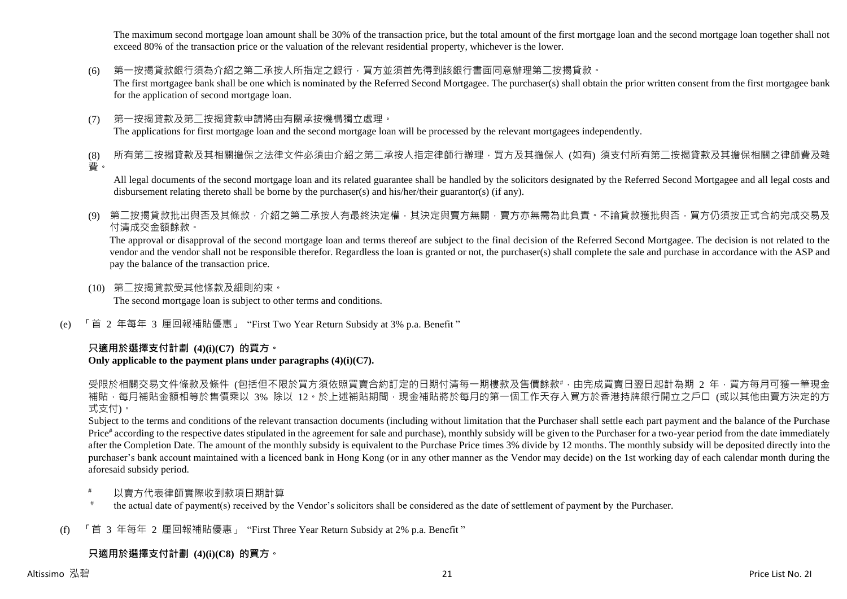The maximum second mortgage loan amount shall be 30% of the transaction price, but the total amount of the first mortgage loan and the second mortgage loan together shall not exceed 80% of the transaction price or the valuation of the relevant residential property, whichever is the lower.

(6) 第一按揭貸款銀行須為介紹之第二承按人所指定之銀行,買方並須首先得到該銀行書面同意辦理第二按揭貸款。

The first mortgagee bank shall be one which is nominated by the Referred Second Mortgagee. The purchaser(s) shall obtain the prior written consent from the first mortgagee bank for the application of second mortgage loan.

(7) 第一按揭貸款及第二按揭貸款申請將由有關承按機構獨立處理。 The applications for first mortgage loan and the second mortgage loan will be processed by the relevant mortgagees independently.

(8) 所有第二按揭貸款及其相關擔保之法律文件必須由介紹之第二承按人指定律師行辦理,買方及其擔保人 (如有) 須支付所有第二按揭貸款及其擔保相關之律師費及雜 費。

All legal documents of the second mortgage loan and its related guarantee shall be handled by the solicitors designated by the Referred Second Mortgagee and all legal costs and disbursement relating thereto shall be borne by the purchaser(s) and his/her/their guarantor(s) (if any).

(9) 第二按揭貸款批出與否及其條款,介紹之第二承按人有最終決定權,其決定與賣方無關,賣方亦無需為此負責。不論貸款獲批與否,買方仍須按正式合約完成交易及 付清成交金額餘款。

The approval or disapproval of the second mortgage loan and terms thereof are subject to the final decision of the Referred Second Mortgagee. The decision is not related to the vendor and the vendor shall not be responsible therefor. Regardless the loan is granted or not, the purchaser(s) shall complete the sale and purchase in accordance with the ASP and pay the balance of the transaction price.

- (10) 第二按揭貸款受其他條款及細則約束。 The second mortgage loan is subject to other terms and conditions.
- (e) 「首 2 年每年 3 厘回報補貼優惠」 "First Two Year Return Subsidy at 3% p.a. Benefit "

# **只適用於選擇支付計劃 (4)(i)(C7) 的買方。**

### **Only applicable to the payment plans under paragraphs (4)(i)(C7).**

受限於相關交易文件條款及條件 (包括但不限於買方須依照買賣合約訂定的日期付清每一期樓款及售價餘款#,由完成買賣日翌日起計為期 2 年,買方每月可獲一筆現金 補貼,每月補貼金額相等於售價乘以 3% 除以 12。於上述補貼期間,現金補貼將於每月的第一個工作天存入買方於香港持牌銀行開立之戶口 (或以其他由賣方決定的方 式支付)。

Subject to the terms and conditions of the relevant transaction documents (including without limitation that the Purchaser shall settle each part payment and the balance of the Purchase Price<sup>#</sup> according to the respective dates stipulated in the agreement for sale and purchase), monthly subsidy will be given to the Purchaser for a two-year period from the date immediately after the Completion Date. The amount of the monthly subsidy is equivalent to the Purchase Price times 3% divide by 12 months. The monthly subsidy will be deposited directly into the purchaser's bank account maintained with a licenced bank in Hong Kong (or in any other manner as the Vendor may decide) on the 1st working day of each calendar month during the aforesaid subsidy period.

- 以賣方代表律師實際收到款項日期計算
- # the actual date of payment(s) received by the Vendor's solicitors shall be considered as the date of settlement of payment by the Purchaser.
- (f) 「首 3 年每年 2 厘回報補貼優惠」 "First Three Year Return Subsidy at 2% p.a. Benefit "

# **只適用於選擇支付計劃 (4)(i)(C8) 的買方。**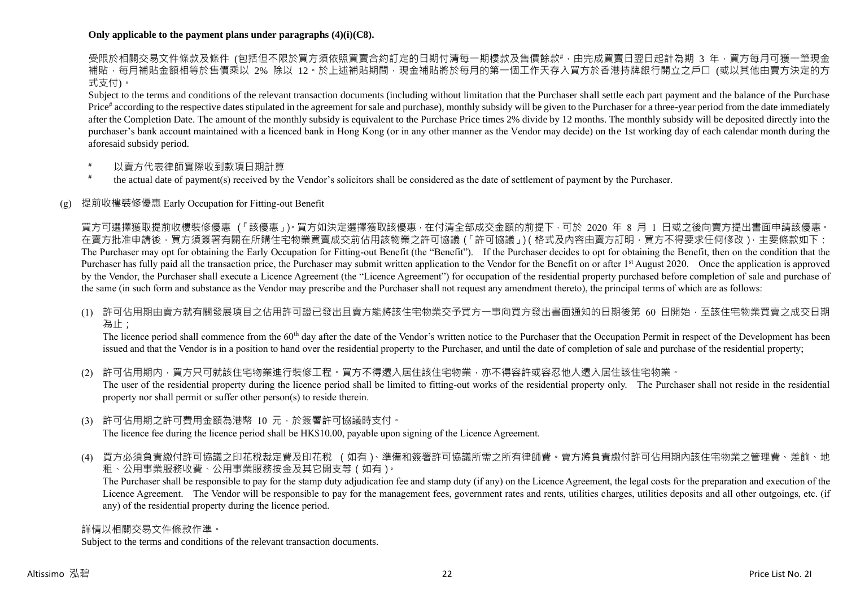### **Only applicable to the payment plans under paragraphs (4)(i)(C8).**

受限於相關交易文件條款及條件 (包括但不限於買方須依照買賣合約訂定的日期付清每一期樓款及售價餘款#,由完成買賣日翌日起計為期 3 年,買方每月可獲一筆現金 補貼,每月補貼金額相等於售價乘以 2% 除以 12。於上述補貼期間,現金補貼將於每月的第一個工作天存入買方於香港持牌銀行開立之戶口 (或以其他由賣方決定的方 式支付)。

Subject to the terms and conditions of the relevant transaction documents (including without limitation that the Purchaser shall settle each part payment and the balance of the Purchase Price<sup>#</sup> according to the respective dates stipulated in the agreement for sale and purchase), monthly subsidy will be given to the Purchaser for a three-year period from the date immediately after the Completion Date. The amount of the monthly subsidy is equivalent to the Purchase Price times 2% divide by 12 months. The monthly subsidy will be deposited directly into the purchaser's bank account maintained with a licenced bank in Hong Kong (or in any other manner as the Vendor may decide) on the 1st working day of each calendar month during the aforesaid subsidy period.

- 以賣方代表律師實際收到款項日期計算
- # the actual date of payment(s) received by the Vendor's solicitors shall be considered as the date of settlement of payment by the Purchaser.

## (g) 提前收樓裝修優惠 Early Occupation for Fitting-out Benefit

買方可選擇獲取提前收樓裝修優惠 (「該優惠」)。買方如決定選擇獲取該優惠,在付清全部成交金額的前提下,可於 2020 年 8 月 1 日或之後向賣方提出書面申請該優惠。 在賣方批准申請後,買方須簽署有關在所購住宅物業買賣成交前佔用該物業之許可協議(「許可協議」)(格式及內容由賣方訂明,買方不得要求任何修改),主要條款如下: The Purchaser may opt for obtaining the Early Occupation for Fitting-out Benefit (the "Benefit"). If the Purchaser decides to opt for obtaining the Benefit, then on the condition that the Purchaser has fully paid all the transaction price, the Purchaser may submit written application to the Vendor for the Benefit on or after 1<sup>st</sup> August 2020. Once the application is approved by the Vendor, the Purchaser shall execute a Licence Agreement (the "Licence Agreement") for occupation of the residential property purchased before completion of sale and purchase of the same (in such form and substance as the Vendor may prescribe and the Purchaser shall not request any amendment thereto), the principal terms of which are as follows:

(1) 許可佔用期由賣方就有關發展項目之佔用許可證已發出且賣方能將該住宅物業交予買方一事向買方發出書面通知的日期後第 60 日開始,至該住宅物業買賣之成交日期 為止;

The licence period shall commence from the 60<sup>th</sup> day after the date of the Vendor's written notice to the Purchaser that the Occupation Permit in respect of the Development has been issued and that the Vendor is in a position to hand over the residential property to the Purchaser, and until the date of completion of sale and purchase of the residential property;

(2) 許可佔用期内,買方只可就該住宅物業進行裝修工程。買方不得遷入居住該住宅物業,亦不得容許或容忍他人遷入居住該住宅物業。 The user of the residential property during the licence period shall be limited to fitting-out works of the residential property only. The Purchaser shall not reside in the residential property nor shall permit or suffer other person(s) to reside therein.

- (3) 許可佔用期之許可費用金額為港幣 10 元,於簽署許可協議時支付。 The licence fee during the licence period shall be HK\$10.00, payable upon signing of the Licence Agreement.
- 
- (4) 買方必須負責繳付許可協議之印花稅裁定費及印花稅 (如有)、準備和簽署許可協議所需之所有律師費。賣方將負責繳付許可佔用期內該住宅物業之管理費、差餉、地 租、公用事業服務收費、公用事業服務按金及其它開支等(如有)。

The Purchaser shall be responsible to pay for the stamp duty adjudication fee and stamp duty (if any) on the Licence Agreement, the legal costs for the preparation and execution of the Licence Agreement. The Vendor will be responsible to pay for the management fees, government rates and rents, utilities charges, utilities deposits and all other outgoings, etc. (if any) of the residential property during the licence period.

#### 詳情以相關交易文件條款作準。

Subject to the terms and conditions of the relevant transaction documents.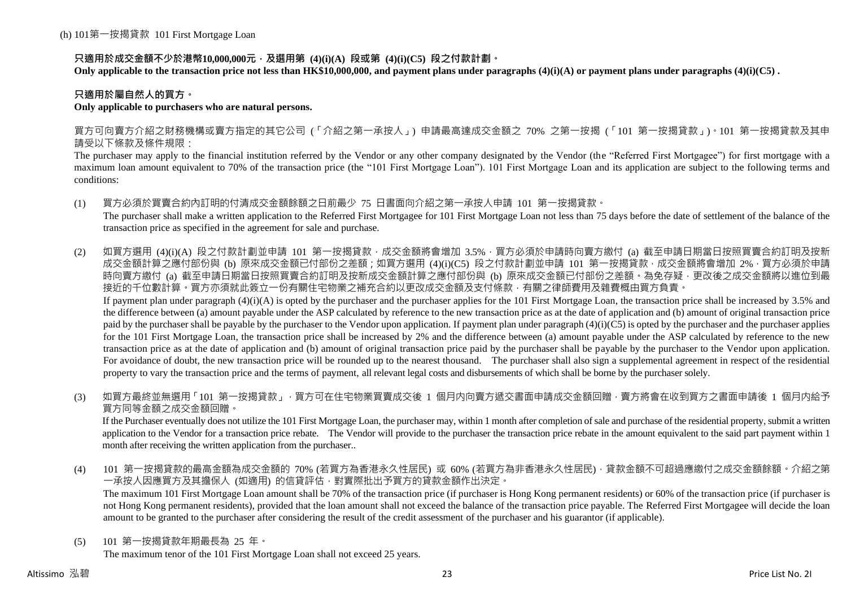## **只適用於成交金額不少於港幣10,000,000元,及選用第 (4)(i)(A) 段或第 (4)(i)(C5) 段之付款計劃。**

**Only applicable to the transaction price not less than HK\$10,000,000, and payment plans under paragraphs (4)(i)(A) or payment plans under paragraphs (4)(i)(C5) .**

### **只適用於屬自然人的買方。**

### **Only applicable to purchasers who are natural persons.**

買方可向賣方介紹之財務機構或賣方指定的其它公司 (「介紹之第一承按人」) 申請最高達成交金額之 70% 之第一按揭 (「101 第一按揭貸款」)。101 第一按揭貸款及其申 請受以下條款及條件規限:

The purchaser may apply to the financial institution referred by the Vendor or any other company designated by the Vendor (the "Referred First Mortgagee") for first mortgage with a maximum loan amount equivalent to 70% of the transaction price (the "101 First Mortgage Loan"). 101 First Mortgage Loan and its application are subject to the following terms and conditions:

(1) 買方必須於買賣合約內訂明的付清成交金額餘額之日前最少 75 日書面向介紹之第一承按人申請 101 第一按揭貸款。

The purchaser shall make a written application to the Referred First Mortgagee for 101 First Mortgage Loan not less than 75 days before the date of settlement of the balance of the transaction price as specified in the agreement for sale and purchase.

(2) 如買方選用 (4)(i)(A) 段之付款計劃並申請 101 第一按揭貸款,成交金額將會增加 3.5%,買方必須於申請時向賣方繳付 (a) 截至申請日期當日按照買賣合約訂明及按新 成交金額計算之應付部份與 (b) 原來成交金額已付部份之差額;如買方選用 (4)(i)(C5) 段之付款計劃並申請 101 第一按揭貸款,成交金額將會增加 2%,買方必須於申請 時向賣方繳付 (a) 截至申請日期當日按照買賣合約訂明及按新成交金額計算之應付部份與 (b) 原來成交金額已付部份之差額。為免存疑,更改後之成交金額將以進位到最 接近的千位數計算。買方亦須就此簽立一份有關住宅物業之補充合約以更改成交金額及支付條款,有關之律師費用及雜費概由買方負責。 If payment plan under paragraph  $(4)(i)(A)$  is opted by the purchaser and the purchaser applies for the 101 First Mortgage Loan, the transaction price shall be increased by 3.5% and

the difference between (a) amount payable under the ASP calculated by reference to the new transaction price as at the date of application and (b) amount of original transaction price paid by the purchaser shall be payable by the purchaser to the Vendor upon application. If payment plan under paragraph  $(4)(i)(C5)$  is opted by the purchaser and the purchaser applies for the 101 First Mortgage Loan, the transaction price shall be increased by 2% and the difference between (a) amount payable under the ASP calculated by reference to the new transaction price as at the date of application and (b) amount of original transaction price paid by the purchaser shall be payable by the purchaser to the Vendor upon application. For avoidance of doubt, the new transaction price will be rounded up to the nearest thousand. The purchaser shall also sign a supplemental agreement in respect of the residential property to vary the transaction price and the terms of payment, all relevant legal costs and disbursements of which shall be borne by the purchaser solely.

(3) 如買方最終並無選用「101 第一按揭貸款」,買方可在住宅物業買賣成交後 1 個月内向賣方遞交書面申請成交金額回贈,賣方將會在收到買方之書面申請後 1 個月内給予 買方同等金額之成交金額回贈。

If the Purchaser eventually does not utilize the 101 First Mortgage Loan, the purchaser may, within 1 month after completion of sale and purchase of the residential property, submit a written application to the Vendor for a transaction price rebate. The Vendor will provide to the purchaser the transaction price rebate in the amount equivalent to the said part payment within 1 month after receiving the written application from the purchaser..

(4) 101 第一按揭貸款的最高金額為成交金額的 70% (若買方為香港永久性居民) 或 60% (若買方為非香港永久性居民),貸款金額不可超過應繳付之成交金額餘額。介紹之第 一承按人因應買方及其擔保人 (如適用) 的信貸評估,對實際批出予買方的貸款金額作出決定。

The maximum 101 First Mortgage Loan amount shall be 70% of the transaction price (if purchaser is Hong Kong permanent residents) or 60% of the transaction price (if purchaser is not Hong Kong permanent residents), provided that the loan amount shall not exceed the balance of the transaction price payable. The Referred First Mortgagee will decide the loan amount to be granted to the purchaser after considering the result of the credit assessment of the purchaser and his guarantor (if applicable).

(5) 101 第一按揭貸款年期最長為 25 年。

The maximum tenor of the 101 First Mortgage Loan shall not exceed 25 years.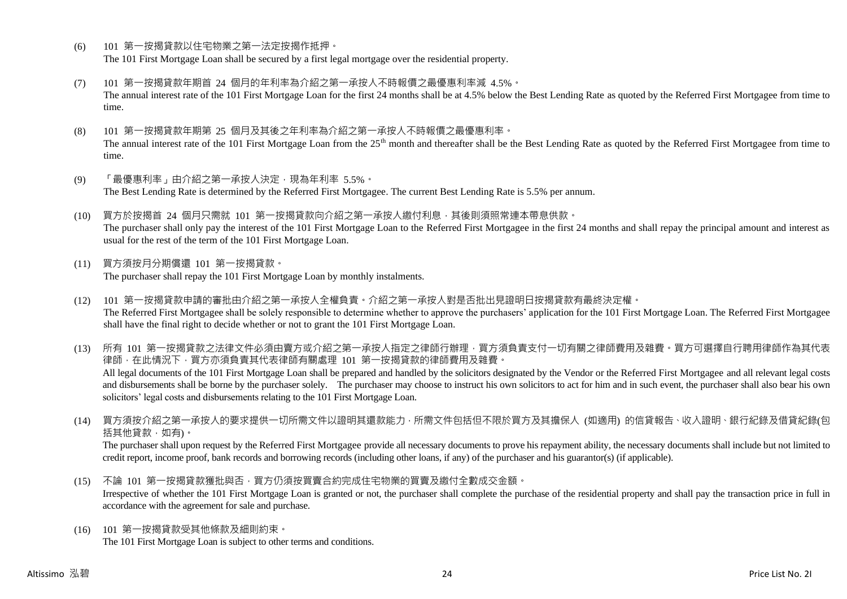- (6) 101 第一按揭貸款以住宅物業之第一法定按揭作抵押。 The 101 First Mortgage Loan shall be secured by a first legal mortgage over the residential property.
- (7) 101 第一按揭貸款年期首 24 個月的年利率為介紹之第一承按人不時報價之最優惠利率減 4.5%。 The annual interest rate of the 101 First Mortgage Loan for the first 24 months shall be at 4.5% below the Best Lending Rate as quoted by the Referred First Mortgagee from time to time.
- (8) 101 第一按揭貸款年期第 25 個月及其後之年利率為介紹之第一承按人不時報價之最優惠利率。 The annual interest rate of the 101 First Mortgage Loan from the 25<sup>th</sup> month and thereafter shall be the Best Lending Rate as quoted by the Referred First Mortgagee from time to time.
- (9) 「最優惠利率」由介紹之第一承按人決定,現為年利率 5.5%。 The Best Lending Rate is determined by the Referred First Mortgagee. The current Best Lending Rate is 5.5% per annum.
- (10) 買方於按揭首 24 個月只需就 101 第一按揭貸款向介紹之第一承按人繳付利息,其後則須照常連本帶息供款。 The purchaser shall only pay the interest of the 101 First Mortgage Loan to the Referred First Mortgagee in the first 24 months and shall repay the principal amount and interest as usual for the rest of the term of the 101 First Mortgage Loan.
- (11) 買方須按月分期償還 101 第一按揭貸款。 The purchaser shall repay the 101 First Mortgage Loan by monthly instalments.
- (12) 101 第一按揭貸款申請的審批由介紹之第一承按人全權負責。介紹之第一承按人對是否批出見證明日按揭貸款有最終決定權。 The Referred First Mortgagee shall be solely responsible to determine whether to approve the purchasers' application for the 101 First Mortgage Loan. The Referred First Mortgagee shall have the final right to decide whether or not to grant the 101 First Mortgage Loan.

(13) 所有 101 第一按揭貸款之法律文件必須由賣方或介紹之第一承按人指定之律師行辦理,買方須負責支付一切有關之律師費用及雜費。買方可選擇自行聘用律師作為其代表 律師,在此情況下,買方亦須負責其代表律師有關處理 101 第一按揭貸款的律師費用及雜費。 All legal documents of the 101 First Mortgage Loan shall be prepared and handled by the solicitors designated by the Vendor or the Referred First Mortgagee and all relevant legal costs and disbursements shall be borne by the purchaser solely. The purchaser may choose to instruct his own solicitors to act for him and in such event, the purchaser shall also bear his own solicitors' legal costs and disbursements relating to the 101 First Mortgage Loan.

(14) 買方須按介紹之第一承按人的要求提供一切所需文件以證明其還款能力,所需文件包括但不限於買方及其擔保人 (如適用) 的信貸報告、收入證明、銀行紀錄及借貸紀錄(包 括其他貸款,如有)。

The purchaser shall upon request by the Referred First Mortgagee provide all necessary documents to prove his repayment ability, the necessary documents shall include but not limited to credit report, income proof, bank records and borrowing records (including other loans, if any) of the purchaser and his guarantor(s) (if applicable).

- (15) 不論 101 第一按揭貸款獲批與否,買方仍須按買賣合約完成住宅物業的買賣及繳付全數成交金額。 Irrespective of whether the 101 First Mortgage Loan is granted or not, the purchaser shall complete the purchase of the residential property and shall pay the transaction price in full in accordance with the agreement for sale and purchase.
- (16) 101 第一按揭貸款受其他條款及細則約束。 The 101 First Mortgage Loan is subject to other terms and conditions.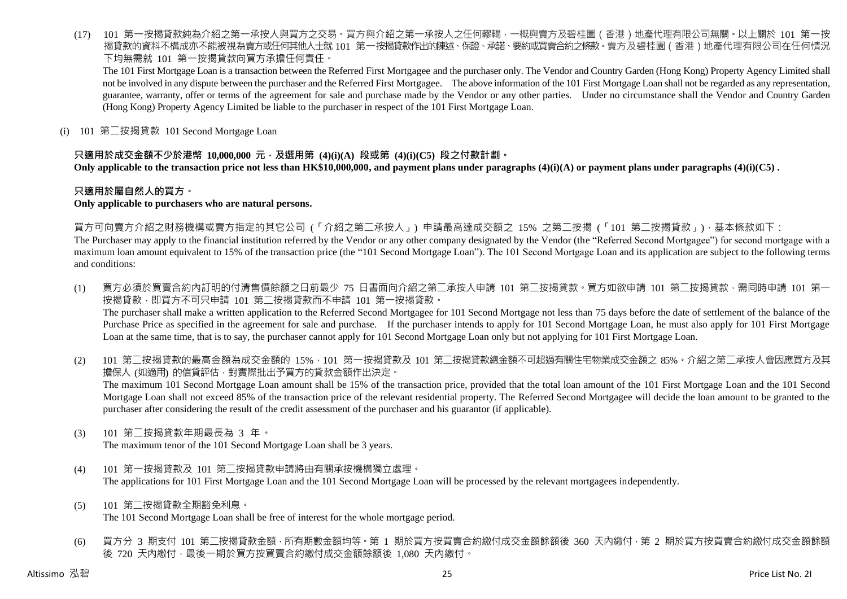(17) 101 第一按揭貸款純為介紹之第一承按人與買方之交易。買方與介紹之第一承按人之任何轇輵,一概與賣方及碧桂園(香港)地產代理有限公司無關。以上關於 101 第一按 揭貸款的資料不構成亦不能被視為賣方或任何其他人士就 101 第一按揭貸款作出的陳述、保證、承諾、要約或買賣合約之條款。賣方及碧桂園(香港)地產代理有限公司在任何情況 下均無需就 101 第一按揭貸款向買方承擔任何責任。

The 101 First Mortgage Loan is a transaction between the Referred First Mortgagee and the purchaser only. The Vendor and Country Garden (Hong Kong) Property Agency Limited shall not be involved in any dispute between the purchaser and the Referred First Mortgagee. The above information of the 101 First Mortgage Loan shall not be regarded as any representation, guarantee, warranty, offer or terms of the agreement for sale and purchase made by the Vendor or any other parties. Under no circumstance shall the Vendor and Country Garden (Hong Kong) Property Agency Limited be liable to the purchaser in respect of the 101 First Mortgage Loan.

(i) 101 第二按揭貸款 101 Second Mortgage Loan

### **只適用於成交金額不少於港幣 10,000,000 元,及選用第 (4)(i)(A) 段或第 (4)(i)(C5) 段之付款計劃。**

**Only applicable to the transaction price not less than HK\$10,000,000, and payment plans under paragraphs (4)(i)(A) or payment plans under paragraphs (4)(i)(C5) .**

### **只適用於屬自然人的買方。**

#### **Only applicable to purchasers who are natural persons.**

買方可向賣方介紹之財務機構或賣方指定的其它公司 (「介紹之第二承按人」) 申請最高達成交額之 15% 之第二按揭 (「101 第二按揭貸款」),基本條款如下:

The Purchaser may apply to the financial institution referred by the Vendor or any other company designated by the Vendor (the "Referred Second Mortgagee") for second mortgage with a maximum loan amount equivalent to 15% of the transaction price (the "101 Second Mortgage Loan"). The 101 Second Mortgage Loan and its application are subject to the following terms and conditions:

- (1) 買方必須於買賣合約內訂明的付清售價餘額之日前最少 75 日書面向介紹之第二承按人申請 101 第二按揭貸款。買方如欲申請 101 第二按揭貸款,需同時申請 101 第一 按揭貸款,即買方不可只申請 101 第二按揭貸款而不申請 101 第一按揭貸款。 The purchaser shall make a written application to the Referred Second Mortgagee for 101 Second Mortgage not less than 75 days before the date of settlement of the balance of the Purchase Price as specified in the agreement for sale and purchase. If the purchaser intends to apply for 101 Second Mortgage Loan, he must also apply for 101 First Mortgage Loan at the same time, that is to say, the purchaser cannot apply for 101 Second Mortgage Loan only but not applying for 101 First Mortgage Loan.
- (2) 101 第二按揭貸款的最高金額為成交金額的 15%,101 第一按揭貸款及 101 第二按揭貸款總金額不可超過有關住宅物業成交金額之 85%。介紹之第二承按人會因應買方及其 擔保人 (如適用) 的信貸評估,對實際批出予買方的貸款金額作出決定。 The maximum 101 Second Mortgage Loan amount shall be 15% of the transaction price, provided that the total loan amount of the 101 First Mortgage Loan and the 101 Second Mortgage Loan shall not exceed 85% of the transaction price of the relevant residential property. The Referred Second Mortgagee will decide the loan amount to be granted to the purchaser after considering the result of the credit assessment of the purchaser and his guarantor (if applicable).
- (3) 101 第二按揭貸款年期最長為 3 年。

The maximum tenor of the 101 Second Mortgage Loan shall be 3 years.

- (4) 101 第一按揭貸款及 101 第二按揭貸款申請將由有關承按機構獨立處理。 The applications for 101 First Mortgage Loan and the 101 Second Mortgage Loan will be processed by the relevant mortgagees independently.
- (5) 101 第二按揭貸款全期豁免利息。 The 101 Second Mortgage Loan shall be free of interest for the whole mortgage period.
- (6) 買方分 3 期支付 101 第二按揭貸款金額,所有期數金額均等。第 1 期於買方按買賣合約繳付成交金額餘額後 360 天內繳付,第 2 期於買方按買賣合約繳付成交金額餘額 後 720 天內繳付,最後一期於買方按買賣合約繳付成交金額餘額後 1,080 天內繳付。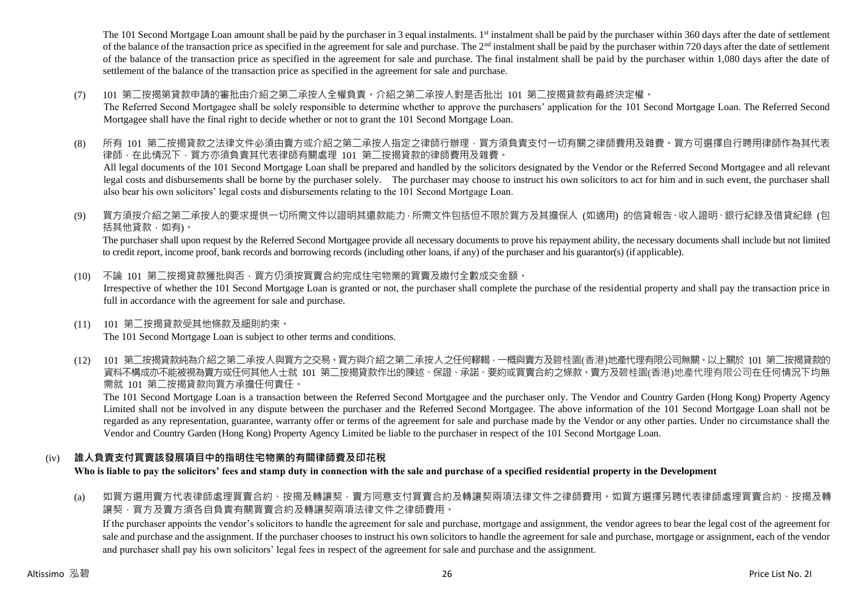The 101 Second Mortgage Loan amount shall be paid by the purchaser in 3 equal instalments. 1<sup>st</sup> instalment shall be paid by the purchaser within 360 days after the date of settlement of the balance of the transaction price as specified in the agreement for sale and purchase. The  $2<sup>nd</sup>$  instalment shall be paid by the purchaser within 720 days after the date of settlement of the balance of the transaction price as specified in the agreement for sale and purchase. The final instalment shall be paid by the purchaser within 1,080 days after the date of settlement of the balance of the transaction price as specified in the agreement for sale and purchase.

(7) 101 第二按揭第貸款申請的審批由介紹之第二承按人全權負責。介紹之第二承按人對是否批出 101 第二按揭貸款有最終決定權。

The Referred Second Mortgagee shall be solely responsible to determine whether to approve the purchasers' application for the 101 Second Mortgage Loan. The Referred Second Mortgagee shall have the final right to decide whether or not to grant the 101 Second Mortgage Loan.

- (8) 所有 101 第二按揭貸款之法律文件必須由賣方或介紹之第二承按人指定之律師行辦理,買方須負責支付一切有關之律師費用及雜費。買方可選擇自行聘用律師作為其代表 律師,在此情況下,買方亦須負責其代表律師有關處理 101 第二按揭貸款的律師費用及雜費。 All legal documents of the 101 Second Mortgage Loan shall be prepared and handled by the solicitors designated by the Vendor or the Referred Second Mortgagee and all relevant legal costs and disbursements shall be borne by the purchaser solely. The purchaser may choose to instruct his own solicitors to act for him and in such event, the purchaser shall also bear his own solicitors' legal costs and disbursements relating to the 101 Second Mortgage Loan.
- (9) 買方須按介紹之第二承按人的要求提供一切所需文件以證明其還款能力,所需文件包括但不限於買方及其擔保人 (如適用) 的信貸報告、收入證明、銀行紀錄及借貸紀錄 (包 括其他貸款,如有)。

The purchaser shall upon request by the Referred Second Mortgagee provide all necessary documents to prove his repayment ability, the necessary documents shall include but not limited to credit report, income proof, bank records and borrowing records (including other loans, if any) of the purchaser and his guarantor(s) (if applicable).

- (10) 不論 101 第二按揭貸款獲批與否,買方仍須按買賣合約完成住宅物業的買賣及繳付全數成交金額。 Irrespective of whether the 101 Second Mortgage Loan is granted or not, the purchaser shall complete the purchase of the residential property and shall pay the transaction price in full in accordance with the agreement for sale and purchase.
- (11) 101 第二按揭貸款受其他條款及細則約束。 The 101 Second Mortgage Loan is subject to other terms and conditions.
- (12) 101 第二按揭貸款純為介紹之第二承按人與買方之交易。買方與介紹之第二承按人之任何轇輵,一概與賣方及碧桂園(香港)地產代理有限公司無關。以上關於 101 第二按揭貸款的 資料不構成亦不能被視為賣方或任何其他人士就 101 第二按揭貸款作出的陳述、保證、承諾、要約或買賣合約之條款。賣方及碧桂園(香港)地產代理有限公司在任何情況下均無 需就 101 第二按揭貸款向買方承擔任何責任。

The 101 Second Mortgage Loan is a transaction between the Referred Second Mortgagee and the purchaser only. The Vendor and Country Garden (Hong Kong) Property Agency Limited shall not be involved in any dispute between the purchaser and the Referred Second Mortgagee. The above information of the 101 Second Mortgage Loan shall not be regarded as any representation, guarantee, warranty offer or terms of the agreement for sale and purchase made by the Vendor or any other parties. Under no circumstance shall the Vendor and Country Garden (Hong Kong) Property Agency Limited be liable to the purchaser in respect of the 101 Second Mortgage Loan.

# (iv) **誰人負責支付買賣該發展項目中的指明住宅物業的有關律師費及印花稅**

**Who is liable to pay the solicitors' fees and stamp duty in connection with the sale and purchase of a specified residential property in the Development**

(a) 如買方選用賣方代表律師處理買賣合約、按揭及轉讓契,賣方同意支付買賣合約及轉讓契兩項法律文件之律師費用。如買方選擇另聘代表律師處理買賣合約、按揭及轉 譲契,買方及賣方須各自負責有關買賣合約及轉讓契兩項法律文件之律師費用。

If the purchaser appoints the vendor's solicitors to handle the agreement for sale and purchase, mortgage and assignment, the vendor agrees to bear the legal cost of the agreement for sale and purchase and the assignment. If the purchaser chooses to instruct his own solicitors to handle the agreement for sale and purchase, mortgage or assignment, each of the vendor and purchaser shall pay his own solicitors' legal fees in respect of the agreement for sale and purchase and the assignment.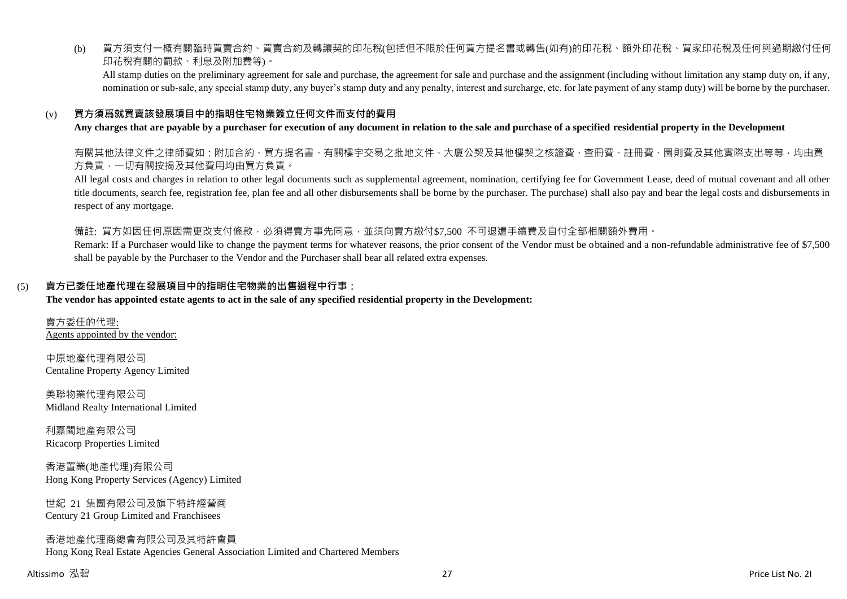(b) 買方須支付一概有關臨時買賣合約、買賣合約及轉讓契的印花稅(包括但不限於任何買方提名書或轉售(如有)的印花稅、額外印花稅、買家印花稅及任何與過期繳付任何 印花稅有關的罰款、利息及附加費等)。

All stamp duties on the preliminary agreement for sale and purchase, the agreement for sale and purchase and the assignment (including without limitation any stamp duty on, if any, nomination or sub-sale, any special stamp duty, any buyer's stamp duty and any penalty, interest and surcharge, etc. for late payment of any stamp duty) will be borne by the purchaser.

### (v) **買方須爲就買賣該發展項目中的指明住宅物業簽立任何文件而支付的費用**

#### **Any charges that are payable by a purchaser for execution of any document in relation to the sale and purchase of a specified residential property in the Development**

有關其他法律文件之律師費如:附加合約、買方提名書、有關樓宇交易之批地文件、大廈公契及其他樓契之核證費、查冊費、註冊費、圖則費及其他實際支出等等,均由買 方負責,一切有關按揭及其他費用均由買方負責。

All legal costs and charges in relation to other legal documents such as supplemental agreement, nomination, certifying fee for Government Lease, deed of mutual covenant and all other title documents, search fee, registration fee, plan fee and all other disbursements shall be borne by the purchaser. The purchase) shall also pay and bear the legal costs and disbursements in respect of any mortgage.

備註: 買方如因任何原因需更改支付條款,必須得賣方事先同意,並須向賣方繳付\$7,500 不可退還手續費及自付全部相關額外費用。

Remark: If a Purchaser would like to change the payment terms for whatever reasons, the prior consent of the Vendor must be obtained and a non-refundable administrative fee of \$7,500 shall be payable by the Purchaser to the Vendor and the Purchaser shall bear all related extra expenses.

#### (5) **賣方已委任地產代理在發展項目中的指明住宅物業的出售過程中行事:**

#### **The vendor has appointed estate agents to act in the sale of any specified residential property in the Development:**

賣方委任的代理: Agents appointed by the vendor:

中原地產代理有限公司 Centaline Property Agency Limited

美聯物業代理有限公司 Midland Realty International Limited

利嘉閣地產有限公司 Ricacorp Properties Limited

香港置業(地產代理)有限公司 Hong Kong Property Services (Agency) Limited

世紀 21 集團有限公司及旗下特許經營商 Century 21 Group Limited and Franchisees

香港地產代理商總會有限公司及其特許會員 Hong Kong Real Estate Agencies General Association Limited and Chartered Members